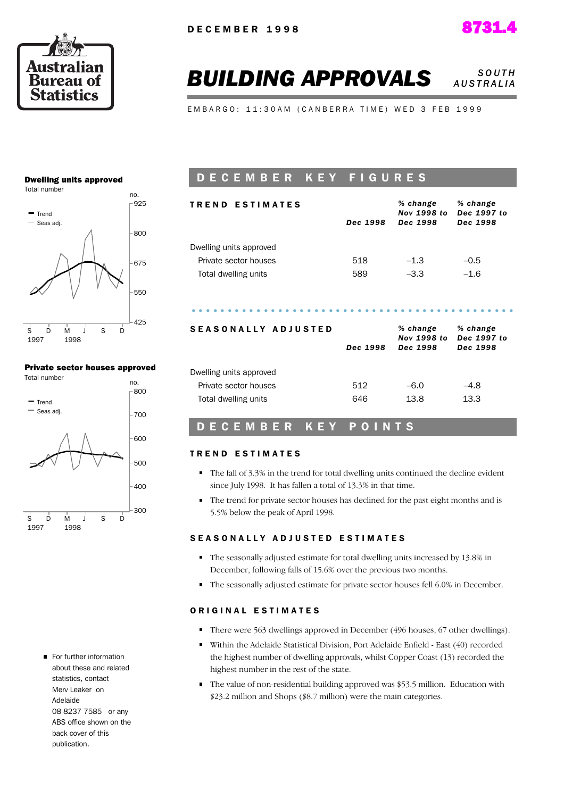

#### **BUILDING APPROVALS** *SOUTH A U S T R A L I A*

EMBARGO: 11:30AM (CANBERRA TIME) WED 3 FEB 1999

#### Dwelling units approved



#### Private sector houses approved



For further information about these and related statistics, contact Merv Leaker on Adelaide 08 8237 7585 or any ABS office shown on the back cover of this publication.

### D E C E M B E R K E Y F I G U R E S

| <b>TREND ESTIMATES</b>     |          | % change<br>Nov 1998 to             | % change<br>Dec 1997 to             |  |
|----------------------------|----------|-------------------------------------|-------------------------------------|--|
|                            | Dec 1998 | Dec 1998                            | Dec 1998                            |  |
| Dwelling units approved    |          |                                     |                                     |  |
| Private sector houses      | 518      | $-1.3$                              | $-0.5$                              |  |
| Total dwelling units       | 589      | $-3.3$                              | $-1.6$                              |  |
|                            |          |                                     |                                     |  |
| <b>SEASONALLY ADJUSTED</b> | Dec 1998 | % change<br>Nov 1998 to<br>Dec 1998 | % change<br>Dec 1997 to<br>Dec 1998 |  |
| Dwelling units approved    |          |                                     |                                     |  |
| Private sector houses      | 512      | $-6.0$                              | $-4.8$                              |  |

#### D E C E M B E R K E Y P O I N T S

#### TREND ESTIMATES

- The fall of 3.3% in the trend for total dwelling units continued the decline evident since July 1998. It has fallen a total of 13.3% in that time.
- The trend for private sector houses has declined for the past eight months and is 5.5% below the peak of April 1998.

#### SEASONALLY ADJUSTED ESTIMATES

- The seasonally adjusted estimate for total dwelling units increased by 13.8% in December, following falls of 15.6% over the previous two months.
- The seasonally adjusted estimate for private sector houses fell 6.0% in December.

#### ORIGINAL ESTIMATES

- There were 563 dwellings approved in December (496 houses, 67 other dwellings).
- Within the Adelaide Statistical Division, Port Adelaide Enfield East (40) recorded the highest number of dwelling approvals, whilst Copper Coast (13) recorded the highest number in the rest of the state.
- The value of non-residential building approved was \$53.5 million. Education with \$23.2 million and Shops (\$8.7 million) were the main categories.

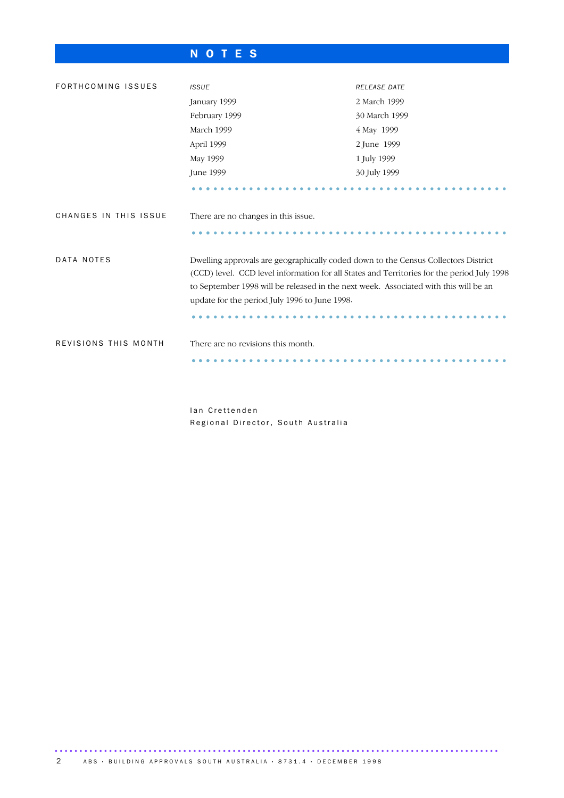### N O T E S

| FORTHCOMING ISSUES                                           | <b>ISSUE</b>                                                                                                                                                                                                                                                                                                              | RELEASE DATE  |  |  |  |
|--------------------------------------------------------------|---------------------------------------------------------------------------------------------------------------------------------------------------------------------------------------------------------------------------------------------------------------------------------------------------------------------------|---------------|--|--|--|
|                                                              | January 1999                                                                                                                                                                                                                                                                                                              | 2 March 1999  |  |  |  |
|                                                              | February 1999                                                                                                                                                                                                                                                                                                             | 30 March 1999 |  |  |  |
|                                                              | March 1999                                                                                                                                                                                                                                                                                                                | 4 May 1999    |  |  |  |
|                                                              | April 1999                                                                                                                                                                                                                                                                                                                | 2 June 1999   |  |  |  |
|                                                              | May 1999                                                                                                                                                                                                                                                                                                                  | 1 July 1999   |  |  |  |
|                                                              | June 1999                                                                                                                                                                                                                                                                                                                 | 30 July 1999  |  |  |  |
|                                                              |                                                                                                                                                                                                                                                                                                                           |               |  |  |  |
| CHANGES IN THIS ISSUE<br>There are no changes in this issue. |                                                                                                                                                                                                                                                                                                                           |               |  |  |  |
|                                                              |                                                                                                                                                                                                                                                                                                                           |               |  |  |  |
| DATA NOTES                                                   | Dwelling approvals are geographically coded down to the Census Collectors District<br>(CCD) level. CCD level information for all States and Territories for the period July 1998<br>to September 1998 will be released in the next week. Associated with this will be an<br>update for the period July 1996 to June 1998. |               |  |  |  |
|                                                              |                                                                                                                                                                                                                                                                                                                           |               |  |  |  |
| REVISIONS THIS MONTH                                         | There are no revisions this month.                                                                                                                                                                                                                                                                                        |               |  |  |  |
|                                                              |                                                                                                                                                                                                                                                                                                                           |               |  |  |  |
|                                                              |                                                                                                                                                                                                                                                                                                                           |               |  |  |  |

Ian Crettenden Regional Director, South Australia

.......................................................................................... 2 A B S · BUILDING APPROVALS SOUTH AUSTRALIA · 8731.4 · DECEMBER 1998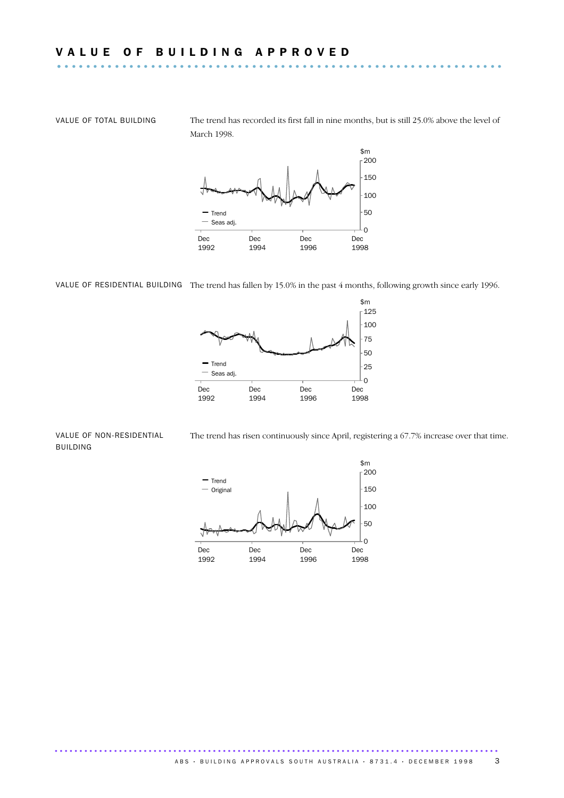VALUE OF TOTAL BUILDING The trend has recorded its first fall in nine months, but is still 25.0% above the level of March 1998.



VALUE OF RESIDENTIAL BUILDING The trend has fallen by 15.0% in the past 4 months, following growth since early 1996.



#### VALUE OF NON-RESIDENTIAL BUILDING

The trend has risen continuously since April, registering a 67.7% increase over that time.

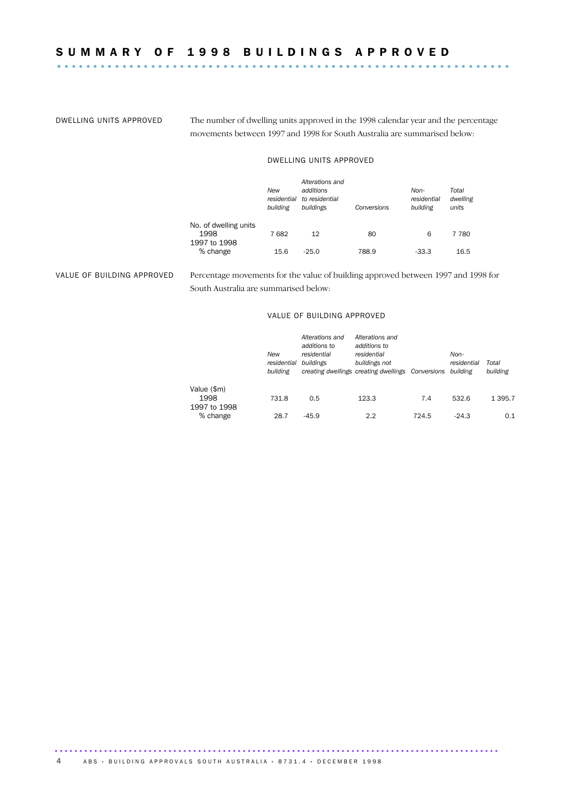DWELLING UNITS APPROVED The number of dwelling units approved in the 1998 calendar year and the percentage movements between 1997 and 1998 for South Australia are summarised below:

#### DWELLING UNITS APPROVED

|                                               | New<br>residential<br>building | Alterations and<br>additions<br>to residential<br>buildings | Conversions | Non-<br>residential<br>building | Total<br>dwelling<br>units |
|-----------------------------------------------|--------------------------------|-------------------------------------------------------------|-------------|---------------------------------|----------------------------|
| No. of dwelling units<br>1998<br>1997 to 1998 | 7682                           | 12                                                          | 80          | 6                               | 7 7 8 0                    |
| % change                                      | 15.6                           | $-25.0$                                                     | 788.9       | -33.3                           | 16.5                       |

VALUE OF BUILDING APPROVED Percentage movements for the value of building approved between 1997 and 1998 for South Australia are summarised below:

#### VALUE OF BUILDING APPROVED

|              | New<br>residential<br>building | Alterations and<br>additions to<br>residential<br>buildings | Alterations and<br>additions to<br>residential<br>buildings not | creating dwellings creating dwellings Conversions |         | Total<br>building |  |
|--------------|--------------------------------|-------------------------------------------------------------|-----------------------------------------------------------------|---------------------------------------------------|---------|-------------------|--|
| Value (\$m)  |                                |                                                             |                                                                 |                                                   |         |                   |  |
| 1998         | 731.8                          | 0.5                                                         | 123.3                                                           | 7.4                                               | 532.6   | 1 3 9 5 . 7       |  |
| 1997 to 1998 |                                |                                                             |                                                                 |                                                   |         |                   |  |
| % change     | 28.7                           | $-45.9$                                                     | 2.2                                                             | 724.5                                             | $-24.3$ | 0.1               |  |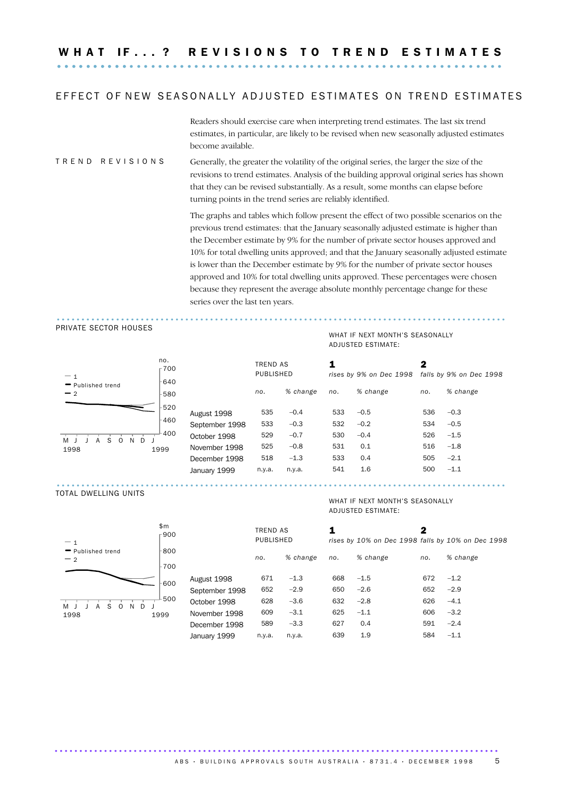W H A T I F . . . ? R E V I S I O N S T O T R E N D E S T I M A T E S .............................................................. ..........

#### EFFECT OF NEW SEASONALLY ADJUSTED ESTIMATES ON TREND ESTIMATES

Readers should exercise care when interpreting trend estimates. The last six trend estimates, in particular, are likely to be revised when new seasonally adjusted estimates become available.

#### T R E N D R E V I S I O N S Generally, the greater the volatility of the original series, the larger the size of the revisions to trend estimates. Analysis of the building approval original series has shown that they can be revised substantially. As a result, some months can elapse before turning points in the trend series are reliably identified.

The graphs and tables which follow present the effect of two possible scenarios on the previous trend estimates: that the January seasonally adjusted estimate is higher than the December estimate by 9% for the number of private sector houses approved and 10% for total dwelling units approved; and that the January seasonally adjusted estimate is lower than the December estimate by 9% for the number of private sector houses approved and 10% for total dwelling units approved. These percentages were chosen because they represent the average absolute monthly percentage change for these series over the last ten years.

#### PRIVATE SECTOR HOUSES



| $-1$                                          | no.<br>r700 | -640           |        | 1<br><b>TREND AS</b><br>PUBLISHED |     | rises by 9% on Dec 1998 |     | 2<br>falls by 9% on Dec 1998 |  |
|-----------------------------------------------|-------------|----------------|--------|-----------------------------------|-----|-------------------------|-----|------------------------------|--|
| Published trend<br>$-2$                       | -580        |                | no.    | % change                          | no. | % change                | no. | % change                     |  |
|                                               | -520        | August 1998    | 535    | $-0.4$                            | 533 | $-0.5$                  | 536 | $-0.3$                       |  |
|                                               | $-460$      | September 1998 | 533    | $-0.3$                            | 532 | $-0.2$                  | 534 | $-0.5$                       |  |
| S.<br><sup>N</sup><br>$\Omega$<br>D<br>A<br>M | $-400$      | October 1998   | 529    | $-0.7$                            | 530 | $-0.4$                  | 526 | $-1.5$                       |  |
| 1998                                          | 1999        | November 1998  | 525    | $-0.8$                            | 531 | 0.1                     | 516 | $-1.8$                       |  |
|                                               |             | December 1998  | 518    | $-1.3$                            | 533 | 0.4                     | 505 | $-2.1$                       |  |
|                                               |             | January 1999   | n.y.a. | n.y.a.                            | 541 | 1.6                     | 500 | $-1.1$                       |  |
|                                               |             |                |        |                                   |     |                         |     |                              |  |

#### TOTAL DWELLING UNITS



#### WHAT IF NEXT MONTH'S SEASONALLY ADJUSTED ESTIMATE:

...........................................................................................

WHAT IF NEXT MONTH'S SEASONALLY

ADJUSTED ESTIMATE:

|   | \$m<br>⊤900 |                | TREND AS<br>PUBLISHED |          |     |          | 2   | rises by 10% on Dec 1998 falls by 10% on Dec 1998 |
|---|-------------|----------------|-----------------------|----------|-----|----------|-----|---------------------------------------------------|
|   | -800        |                | no.                   | % change | no. | % change | no. | % change                                          |
|   | -700        |                |                       |          |     |          |     |                                                   |
|   | -600        | August 1998    | 671                   | $-1.3$   | 668 | $-1.5$   | 672 | $-1.2$                                            |
|   |             | September 1998 | 652                   | $-2.9$   | 650 | $-2.6$   | 652 | $-2.9$                                            |
| D | 500         | October 1998   | 628                   | $-3.6$   | 632 | $-2.8$   | 626 | $-4.1$                                            |
|   | 1999        | November 1998  | 609                   | $-3.1$   | 625 | $-1.1$   | 606 | $-3.2$                                            |
|   |             | December 1998  | 589                   | $-3.3$   | 627 | 0.4      | 591 | $-2.4$                                            |
|   |             | January 1999   | n.y.a.                | n.y.a.   | 639 | 1.9      | 584 | $-1.1$                                            |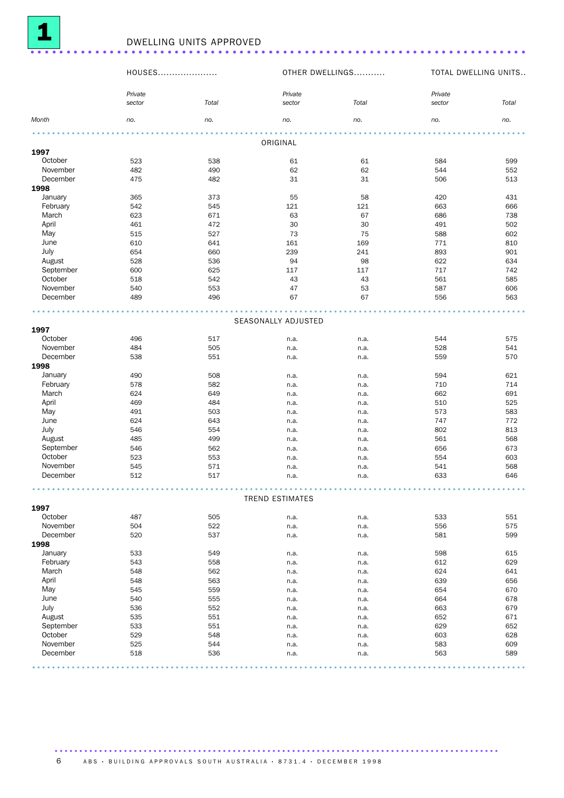

|           | HOUSES  |            |                        | OTHER DWELLINGS | TOTAL DWELLING UNITS |            |
|-----------|---------|------------|------------------------|-----------------|----------------------|------------|
|           | Private |            | Private                |                 | Private              |            |
|           | sector  | Total      | sector                 | Total           | sector               | Total      |
| Month     | no.     | no.        | no.                    | no.             | no.                  | no.        |
|           |         |            | ORIGINAL               |                 |                      |            |
| 1997      |         |            |                        |                 |                      |            |
| October   | 523     | 538        | 61                     | 61              | 584                  | 599        |
| November  | 482     | 490        | 62                     | 62              | 544                  | 552        |
| December  | 475     | 482        | 31                     | 31              | 506                  | 513        |
| 1998      |         |            |                        |                 |                      |            |
| January   | 365     | 373        | 55                     | 58              | 420                  | 431        |
| February  | 542     | 545        | 121                    | 121             | 663                  | 666        |
| March     | 623     | 671        | 63                     | 67              | 686                  | 738        |
| April     | 461     | 472        | 30                     | 30              | 491                  | 502        |
| May       | 515     | 527        | 73                     | 75              | 588                  | 602        |
| June      | 610     | 641        | 161                    | 169             | 771                  | 810        |
| July      | 654     | 660        | 239                    | 241             | 893                  | 901        |
| August    | 528     | 536        | 94                     | 98              | 622                  | 634        |
| September | 600     | 625        |                        |                 | 717                  | 742        |
| October   |         |            | 117                    | 117             |                      |            |
| November  | 518     | 542        | 43                     | 43              | 561                  | 585        |
| December  | 540     | 553        | 47                     | 53<br>67        | 587                  | 606        |
|           | 489     | 496        | 67                     |                 | 556                  | 563        |
|           |         |            | SEASONALLY ADJUSTED    |                 |                      |            |
| 1997      |         |            |                        |                 |                      |            |
| October   | 496     | 517        | n.a.                   | n.a.            | 544                  | 575        |
| November  | 484     | 505        | n.a.                   | n.a.            | 528                  | 541        |
| December  | 538     | 551        | n.a.                   | n.a.            | 559                  | 570        |
| 1998      |         |            |                        |                 |                      |            |
| January   | 490     | 508        | n.a.                   | n.a.            | 594                  | 621        |
| February  | 578     | 582        | n.a.                   | n.a.            | 710                  | 714        |
| March     | 624     | 649        | n.a.                   | n.a.            | 662                  | 691        |
| April     | 469     | 484        | n.a.                   | n.a.            | 510                  | 525        |
| May       | 491     | 503        | n.a.                   | n.a.            | 573                  | 583        |
| June      | 624     | 643        | n.a.                   | n.a.            | 747                  | 772        |
| July      | 546     | 554        | n.a.                   | n.a.            | 802                  | 813        |
| August    | 485     | 499        |                        |                 | 561                  |            |
| September | 546     | 562        | n.a.                   | n.a.            | 656                  | 568<br>673 |
| October   | 523     |            | n.a.                   | n.a.            |                      |            |
| November  |         | 553<br>571 | n.a.                   | n.a.            | 554                  | 603        |
|           | 545     |            | n.a.                   | n.a.            | 541                  | 568        |
| December  | 512     | 517        | n.a.                   | n.a.            | 633                  | 646        |
|           |         |            | <b>TREND ESTIMATES</b> |                 |                      |            |
| 1997      |         |            |                        |                 |                      |            |
| October   | 487     | 505        | n.a.                   | n.a.            | 533                  | 551        |
| November  | 504     | 522        | n.a.                   | n.a.            | 556                  | 575        |
| December  | 520     | 537        | n.a.                   | n.a.            | 581                  | 599        |
| 1998      |         |            |                        |                 |                      |            |
| January   | 533     | 549        | n.a.                   | n.a.            | 598                  | 615        |
| February  | 543     | 558        | n.a.                   | n.a.            | 612                  | 629        |
| March     | 548     | 562        | n.a.                   | n.a.            | 624                  | 641        |
| April     | 548     | 563        | n.a.                   | n.a.            | 639                  | 656        |
| May       | 545     |            |                        |                 |                      |            |
|           |         | 559        | n.a.                   | n.a.            | 654                  | 670        |
| June      | 540     | 555        | n.a.                   | n.a.            | 664                  | 678        |
| July      | 536     | 552        | n.a.                   | n.a.            | 663                  | 679        |
| August    | 535     | 551        | n.a.                   | n.a.            | 652                  | 671        |
| September | 533     | 551        | n.a.                   | n.a.            | 629                  | 652        |
| October   | 529     | 548        | n.a.                   | n.a.            | 603                  | 628        |
| November  | 525     | 544        | n.a.                   | n.a.            | 583                  | 609        |

December 518 536 n.a. n.a. n.a. 563 589 .................................................................................................... .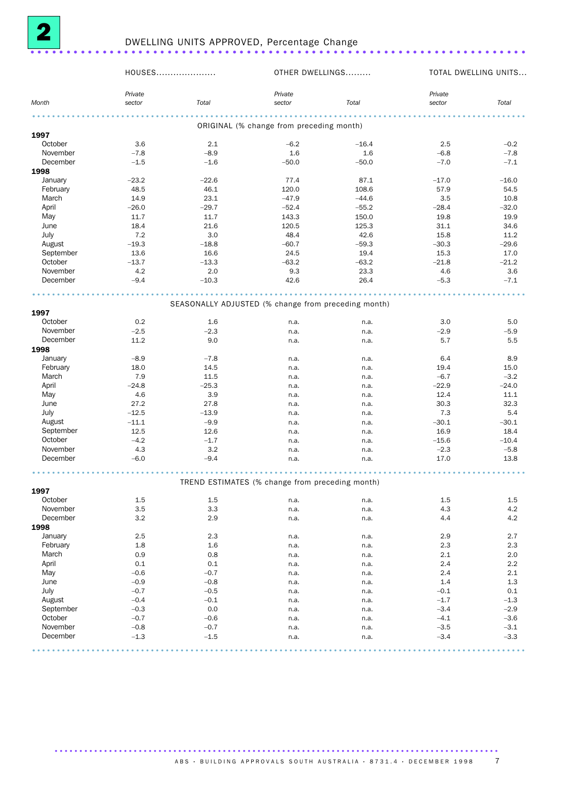

|                 | HOUSES  |         |                                                     | OTHER DWELLINGS |         | TOTAL DWELLING UNITS |
|-----------------|---------|---------|-----------------------------------------------------|-----------------|---------|----------------------|
|                 | Private |         | Private                                             |                 | Private |                      |
| Month           | sector  | Total   | sector                                              | Total           | sector  | Total                |
|                 |         |         |                                                     |                 |         |                      |
|                 |         |         | ORIGINAL (% change from preceding month)            |                 |         |                      |
| 1997            |         |         |                                                     |                 |         |                      |
| October         | 3.6     | 2.1     | $-6.2$                                              | $-16.4$         | 2.5     | $-0.2$               |
| November        | $-7.8$  | $-8.9$  | 1.6                                                 | 1.6             | $-6.8$  | $-7.8$               |
| December        | $-1.5$  | $-1.6$  | $-50.0$                                             | $-50.0$         | $-7.0$  | $-7.1$               |
| 1998            |         |         |                                                     |                 |         |                      |
| January         | $-23.2$ | $-22.6$ | 77.4                                                | 87.1            | $-17.0$ | $-16.0$              |
| February        | 48.5    | 46.1    | 120.0                                               | 108.6           | 57.9    | 54.5                 |
| March           | 14.9    | 23.1    | $-47.9$                                             | $-44.6$         | 3.5     | 10.8                 |
| April           | $-26.0$ | $-29.7$ | $-52.4$                                             | $-55.2$         | $-28.4$ | $-32.0$              |
| May             | 11.7    | 11.7    | 143.3                                               | 150.0           | 19.8    | 19.9                 |
| June            | 18.4    | 21.6    | 120.5                                               | 125.3           | 31.1    | 34.6                 |
| July            | 7.2     | 3.0     | 48.4                                                | 42.6            | 15.8    | 11.2                 |
| August          | $-19.3$ | $-18.8$ | $-60.7$                                             | $-59.3$         | $-30.3$ | $-29.6$              |
| September       | 13.6    | 16.6    | 24.5                                                | 19.4            | 15.3    | 17.0                 |
| October         | $-13.7$ | $-13.3$ | $-63.2$                                             | $-63.2$         | $-21.8$ | $-21.2$              |
| November        | 4.2     | 2.0     | 9.3                                                 | 23.3            | 4.6     | 3.6                  |
| December        | $-9.4$  | $-10.3$ | 42.6                                                | 26.4            | $-5.3$  | $-7.1$               |
|                 |         | .       |                                                     | .               |         |                      |
|                 |         |         | SEASONALLY ADJUSTED (% change from preceding month) |                 |         |                      |
| 1997            |         |         |                                                     |                 |         |                      |
| October         | 0.2     | 1.6     | n.a.                                                | n.a.            | 3.0     | 5.0                  |
| November        | $-2.5$  | $-2.3$  | n.a.                                                | n.a.            | $-2.9$  | $-5.9$               |
| December        | 11.2    | 9.0     | n.a.                                                | n.a.            | 5.7     | 5.5                  |
| 1998            |         |         |                                                     |                 |         |                      |
| January         | $-8.9$  | $-7.8$  | n.a.                                                | n.a.            | 6.4     | 8.9                  |
| February        | 18.0    | 14.5    | n.a.                                                | n.a.            | 19.4    | 15.0                 |
| March           | 7.9     | 11.5    | n.a.                                                | n.a.            | $-6.7$  | $-3.2$               |
| April           | $-24.8$ | $-25.3$ |                                                     |                 | $-22.9$ | $-24.0$              |
|                 | 4.6     | 3.9     | n.a.                                                | n.a.            | 12.4    | 11.1                 |
| May             |         |         | n.a.                                                | n.a.            |         |                      |
| June            | 27.2    | 27.8    | n.a.                                                | n.a.            | 30.3    | 32.3                 |
| July            | $-12.5$ | $-13.9$ | n.a.                                                | n.a.            | 7.3     | 5.4                  |
| August          | $-11.1$ | $-9.9$  | n.a.                                                | n.a.            | $-30.1$ | $-30.1$              |
| September       | 12.5    | 12.6    | n.a.                                                | n.a.            | 16.9    | 18.4                 |
| October         | $-4.2$  | $-1.7$  | n.a.                                                | n.a.            | $-15.6$ | $-10.4$              |
| November        | 4.3     | 3.2     | n.a.                                                | n.a.            | $-2.3$  | $-5.8$               |
| December        | $-6.0$  | $-9.4$  | n.a.                                                | n.a.            | 17.0    | 13.8                 |
|                 |         |         |                                                     |                 |         |                      |
|                 |         |         | TREND ESTIMATES (% change from preceding month)     |                 |         |                      |
| 1997<br>October | $1.5\,$ | $1.5\,$ | n.a.                                                |                 | 1.5     | 1.5                  |
| November        | 3.5     | 3.3     |                                                     | n.a.            | 4.3     |                      |
| December        | 3.2     |         | n.a.                                                | n.a.            |         | 4.2                  |
|                 |         | 2.9     | n.a.                                                | n.a.            | 4.4     | 4.2                  |
| 1998            |         |         |                                                     |                 |         |                      |
| January         | 2.5     | 2.3     | n.a.                                                | n.a.            | 2.9     | 2.7                  |
| February        | $1.8\,$ | 1.6     | n.a.                                                | n.a.            | 2.3     | 2.3                  |
| March           | 0.9     | 0.8     | n.a.                                                | n.a.            | 2.1     | 2.0                  |
| April           | 0.1     | 0.1     | n.a.                                                | n.a.            | 2.4     | 2.2                  |
| May             | $-0.6$  | $-0.7$  | n.a.                                                | n.a.            | 2.4     | 2.1                  |
| June            | $-0.9$  | $-0.8$  | n.a.                                                | n.a.            | 1.4     | 1.3                  |
| July            | $-0.7$  | $-0.5$  | n.a.                                                | n.a.            | $-0.1$  | 0.1                  |
| August          | $-0.4$  | $-0.1$  | n.a.                                                | n.a.            | $-1.7$  | $-1.3$               |
| September       | $-0.3$  | 0.0     | n.a.                                                | n.a.            | $-3.4$  | $-2.9$               |
| October         | $-0.7$  | $-0.6$  | n.a.                                                | n.a.            | $-4.1$  | $-3.6$               |
| November        | $-0.8$  | $-0.7$  | n.a.                                                | n.a.            | $-3.5$  | $-3.1$               |
| December        | $-1.3$  | $-1.5$  | n.a.                                                | n.a.            | $-3.4$  | $-3.3$               |
|                 |         |         |                                                     |                 |         |                      |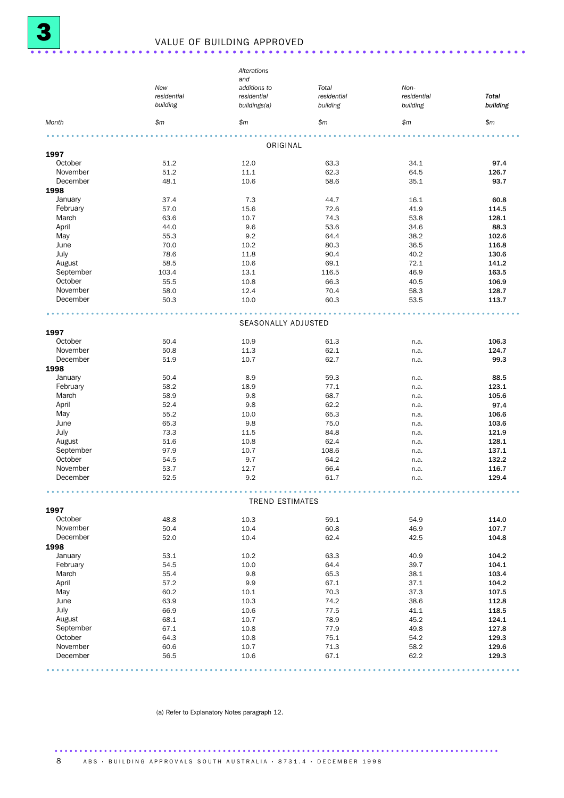|                     |             | Alterations            |              |             |              |  |  |
|---------------------|-------------|------------------------|--------------|-------------|--------------|--|--|
|                     |             | and                    |              |             |              |  |  |
|                     | New         | additions to           | Total        | Non-        |              |  |  |
|                     | residential | residential            | residential  | residential | <b>Total</b> |  |  |
|                     | building    | buildings(a)           | building     | building    | building     |  |  |
| Month               | \$m         | \$m\$                  | \$m          | \$m\$       | \$m\$        |  |  |
|                     |             |                        |              |             |              |  |  |
| 1997                |             | ORIGINAL               |              |             |              |  |  |
| October             | 51.2        | 12.0                   | 63.3         | 34.1        | 97.4         |  |  |
| November            | 51.2        | 11.1                   | 62.3         | 64.5        | 126.7        |  |  |
| December            | 48.1        | 10.6                   | 58.6         | 35.1        | 93.7         |  |  |
| 1998                |             |                        |              |             |              |  |  |
| January             | 37.4        | 7.3                    | 44.7         | 16.1        | 60.8         |  |  |
| February            | 57.0        | 15.6                   | 72.6         | 41.9        | 114.5        |  |  |
| March               | 63.6        | 10.7                   | 74.3         | 53.8        | 128.1        |  |  |
| April               | 44.0        | 9.6                    | 53.6         | 34.6        | 88.3         |  |  |
| May                 | 55.3        | 9.2                    | 64.4         | 38.2        | 102.6        |  |  |
| June                | 70.0        | 10.2                   | 80.3         | 36.5        | 116.8        |  |  |
| July                | 78.6        | 11.8                   | 90.4         | 40.2        | 130.6        |  |  |
| August              | 58.5        | 10.6                   | 69.1         | 72.1        | 141.2        |  |  |
| September           | 103.4       | 13.1                   | 116.5        | 46.9        | 163.5        |  |  |
| October             | 55.5        |                        | 66.3         | 40.5        | 106.9        |  |  |
| November            |             | 10.8                   | 70.4         |             |              |  |  |
| December            | 58.0        | 12.4                   |              | 58.3        | 128.7        |  |  |
|                     | 50.3        | 10.0                   | 60.3         | 53.5        | 113.7        |  |  |
|                     |             | SEASONALLY ADJUSTED    |              |             |              |  |  |
| 1997                |             |                        |              |             |              |  |  |
| October             | 50.4        | 10.9                   | 61.3         | n.a.        | 106.3        |  |  |
| November            | 50.8        | 11.3                   | 62.1         |             | 124.7        |  |  |
| December            | 51.9        | 10.7                   | 62.7         | n.a.        | 99.3         |  |  |
| 1998                |             |                        |              | n.a.        |              |  |  |
|                     | 50.4        | 8.9                    |              |             |              |  |  |
| January<br>February | 58.2        |                        | 59.3<br>77.1 | n.a.        | 88.5         |  |  |
|                     |             | 18.9                   |              | n.a.        | 123.1        |  |  |
| March               | 58.9        | 9.8                    | 68.7         | n.a.        | 105.6        |  |  |
| April               | 52.4        | 9.8                    | 62.2         | n.a.        | 97.4         |  |  |
| May                 | 55.2        | 10.0                   | 65.3         | n.a.        | 106.6        |  |  |
| June                | 65.3        | 9.8                    | 75.0         | n.a.        | 103.6        |  |  |
| July                | 73.3        | 11.5                   | 84.8         | n.a.        | 121.9        |  |  |
| August              | 51.6        | 10.8                   | 62.4         | n.a.        | 128.1        |  |  |
| September           | 97.9        | 10.7                   | 108.6        | n.a.        | 137.1        |  |  |
| October             | 54.5        | 9.7                    | 64.2         | n.a.        | 132.2        |  |  |
| November            | 53.7        | 12.7                   | 66.4         | n.a.        | 116.7        |  |  |
| December            | 52.5        | 9.2                    | 61.7         | n.a.        | 129.4        |  |  |
|                     |             |                        |              |             |              |  |  |
| 1997                |             | <b>TREND ESTIMATES</b> |              |             |              |  |  |
| October             | 48.8        | 10.3                   | 59.1         | 54.9        | 114.0        |  |  |
| November            | 50.4        | 10.4                   | 60.8         | 46.9        | 107.7        |  |  |
| December            | 52.0        | 10.4                   | 62.4         | 42.5        | 104.8        |  |  |
| 1998                |             |                        |              |             |              |  |  |
| January             | 53.1        | 10.2                   | 63.3         | 40.9        | 104.2        |  |  |
| February            | 54.5        | 10.0                   | 64.4         | 39.7        | 104.1        |  |  |
| March               | 55.4        | 9.8                    | 65.3         | 38.1        | 103.4        |  |  |
| April               | 57.2        | 9.9                    | 67.1         | 37.1        | 104.2        |  |  |
| May                 | 60.2        | 10.1                   | 70.3         | 37.3        | 107.5        |  |  |
|                     |             |                        |              |             |              |  |  |
| June                | 63.9        | 10.3                   | 74.2         | 38.6        | 112.8        |  |  |
| July                | 66.9        | 10.6                   | 77.5         | 41.1        | 118.5        |  |  |
| August              | 68.1        | 10.7                   | 78.9         | 45.2        | 124.1        |  |  |
| September           | 67.1        | 10.8                   | 77.9         | 49.8        | 127.8        |  |  |
| October             | 64.3        | 10.8                   | 75.1         | 54.2        | 129.3        |  |  |
| November            | 60.6        | 10.7                   | 71.3         | 58.2        | 129.6        |  |  |
| December            | 56.5        | 10.6                   | 67.1         | 62.2        | 129.3        |  |  |
|                     |             |                        |              |             |              |  |  |

(a) Refer to Explanatory Notes paragraph 12.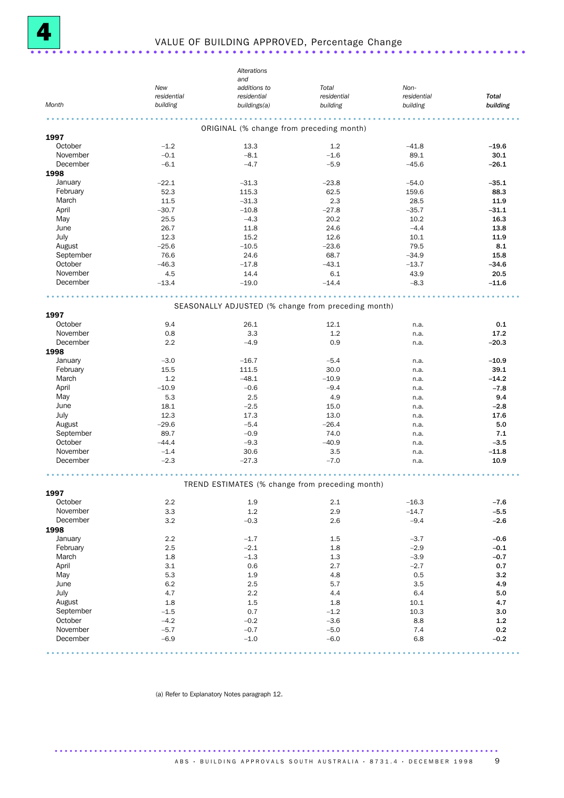

## <sup>4</sup> VALUE OF BUILDING APPROVED, Percentage Change .....................................................................

|           |                    | Alterations                                         |                      |                         |              |
|-----------|--------------------|-----------------------------------------------------|----------------------|-------------------------|--------------|
|           |                    | and                                                 |                      |                         |              |
|           | New<br>residential | additions to<br>residential                         | Total<br>residential | Non-                    | <b>Total</b> |
| Month     | building           | buildings(a)                                        | building             | residential<br>building | building     |
|           |                    |                                                     | .                    |                         |              |
|           |                    | ORIGINAL (% change from preceding month)            |                      |                         |              |
| 1997      |                    |                                                     |                      |                         |              |
| October   | $-1.2$             | 13.3                                                | 1.2                  | $-41.8$                 | $-19.6$      |
| November  | $-0.1$             | $-8.1$                                              | $-1.6$               | 89.1                    | 30.1         |
| December  | $-6.1$             | $-4.7$                                              | $-5.9$               | $-45.6$                 | $-26.1$      |
| 1998      |                    |                                                     |                      |                         |              |
| January   | $-22.1$            | $-31.3$                                             | $-23.8$              | $-54.0$                 | $-35.1$      |
| February  | 52.3               | 115.3                                               | 62.5                 | 159.6                   | 88.3         |
| March     | 11.5               | $-31.3$                                             | 2.3                  | 28.5                    | 11.9         |
| April     | $-30.7$            | $-10.8$                                             | $-27.8$              | $-35.7$                 | $-31.1$      |
| May       | 25.5               | $-4.3$                                              | 20.2                 | 10.2                    | 16.3         |
| June      | 26.7               | 11.8                                                | 24.6                 | $-4.4$                  | 13.8         |
| July      | 12.3               | 15.2                                                | 12.6                 | 10.1                    | 11.9         |
| August    | $-25.6$            | $-10.5$                                             | $-23.6$              | 79.5                    | 8.1          |
| September | 76.6               | 24.6                                                | 68.7                 | $-34.9$                 | 15.8         |
| October   | $-46.3$            | $-17.8$                                             | $-43.1$              | $-13.7$                 | $-34.6$      |
| November  | 4.5                | 14.4                                                | 6.1                  | 43.9                    | 20.5         |
| December  | $-13.4$            | $-19.0$                                             | $-14.4$              | $-8.3$                  | $-11.6$      |
|           |                    |                                                     |                      |                         |              |
|           |                    |                                                     |                      |                         |              |
| 1997      |                    | SEASONALLY ADJUSTED (% change from preceding month) |                      |                         |              |
| October   | 9.4                |                                                     |                      |                         |              |
| November  | 0.8                | 26.1<br>3.3                                         | 12.1<br>1.2          | n.a.                    | 0.1<br>17.2  |
|           |                    |                                                     |                      | n.a.                    |              |
| December  | 2.2                | $-4.9$                                              | 0.9                  | n.a.                    | $-20.3$      |
| 1998      |                    |                                                     |                      |                         |              |
| January   | $-3.0$             | $-16.7$                                             | $-5.4$               | n.a.                    | $-10.9$      |
| February  | 15.5               | 111.5                                               | 30.0                 | n.a.                    | 39.1         |
| March     | 1.2                | $-48.1$                                             | $-10.9$              | n.a.                    | $-14.2$      |
| April     | $-10.9$            | $-0.6$                                              | $-9.4$               | n.a.                    | $-7.8$       |
| May       | 5.3                | 2.5                                                 | 4.9                  | n.a.                    | 9.4          |
| June      | 18.1               | $-2.5$                                              | 15.0                 | n.a.                    | $-2.8$       |
| July      | 12.3               | 17.3                                                | 13.0                 | n.a.                    | 17.6         |
| August    | $-29.6$            | $-5.4$                                              | $-26.4$              | n.a.                    | 5.0          |
| September | 89.7               | $-0.9$                                              | 74.0                 | n.a.                    | 7.1          |
| October   | $-44.4$            | $-9.3$                                              | $-40.9$              | n.a.                    | $-3.5$       |
| November  | $-1.4$             | 30.6                                                | 3.5                  | n.a.                    | $-11.8$      |
| December  | $-2.3$             | $-27.3$                                             | $-7.0$               | n.a.                    | 10.9         |
|           |                    |                                                     |                      |                         |              |
|           |                    | TREND ESTIMATES (% change from preceding month)     |                      |                         |              |
| 1997      |                    |                                                     |                      |                         |              |
| October   | 2.2                | 1.9                                                 | 2.1                  | $-16.3$                 | $-7.6$       |
| November  | 3.3                | 1.2                                                 | 2.9                  | $-14.7$                 | $-5.5$       |
| December  | 3.2                | $-0.3$                                              | 2.6                  | $-9.4$                  | $-2.6$       |
| 1998      |                    |                                                     |                      |                         |              |
| January   | 2.2                | $-1.7$                                              | 1.5                  | $-3.7$                  | $-0.6$       |
| February  | 2.5                | $-2.1$                                              | 1.8                  | $-2.9$                  | $-0.1$       |
| March     | 1.8                | $-1.3$                                              | 1.3                  | $-3.9$                  | $-0.7$       |
| April     | 3.1                | 0.6                                                 | 2.7                  | $-2.7$                  | 0.7          |
| May       | 5.3                | 1.9                                                 | 4.8                  | 0.5                     | 3.2          |
| June      | 6.2                | 2.5                                                 | 5.7                  | 3.5                     | 4.9          |
| July      | 4.7                | 2.2                                                 | 4.4                  | 6.4                     | 5.0          |
| August    | 1.8                | 1.5                                                 | 1.8                  | 10.1                    | 4.7          |
| September | $-1.5$             | 0.7                                                 | $-1.2$               | 10.3                    | 3.0          |
| October   | $-4.2$             | $-0.2$                                              | $-3.6$               | 8.8                     | $1.2$        |
| November  | $-5.7$             | $-0.7$                                              | $-5.0$               | 7.4                     | 0.2          |
| December  | $-6.9$             | $-1.0$                                              | $-6.0$               | 6.8                     | $-0.2$       |
|           |                    |                                                     |                      |                         |              |

(a) Refer to Explanatory Notes paragraph 12.

.......................................................................................... ABS • BUILDING APPROVALS SOUTH AUSTRALIA • 8731.4 • DECEMBER 1998 9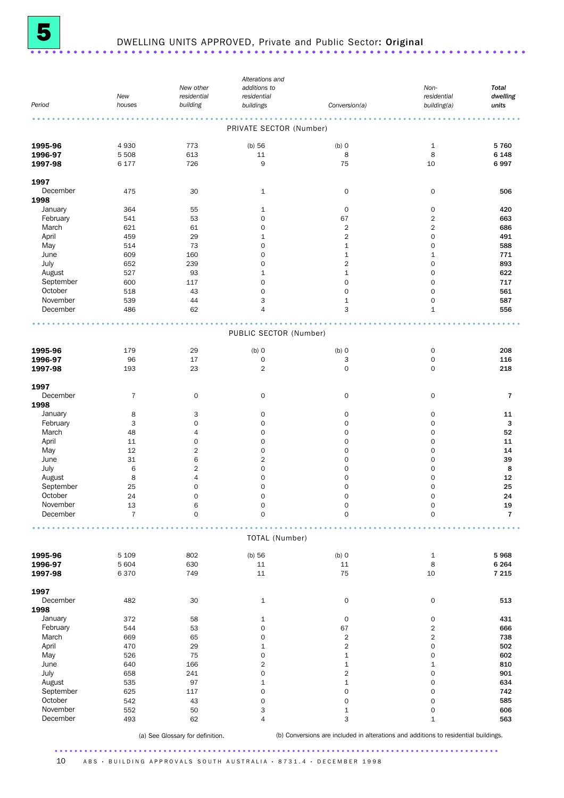

## DWELLING UNITS APPROVED, Private and Public Sector: Original ....................

|           |                |                     | Alterations and         |                     |                         |              |
|-----------|----------------|---------------------|-------------------------|---------------------|-------------------------|--------------|
|           |                | New other           | additions to            |                     | Non-                    | <b>Total</b> |
|           | New            | residential         | residential             |                     | residential             | dwelling     |
| Period    | houses         | building            | buildings               | Conversion(a)       | building(a)             | units        |
|           |                |                     |                         |                     |                         |              |
|           |                |                     | PRIVATE SECTOR (Number) |                     |                         |              |
| 1995-96   | 4930           | 773                 | $(b)$ 56                | $(b)$ O             | $\mathbf 1$             | 5760         |
| 1996-97   | 5 5 0 8        | 613                 | 11                      | 8                   | 8                       | 6 1 4 8      |
| 1997-98   | 6 177          | 726                 | 9                       | 75                  | 10                      | 6997         |
| 1997      |                |                     |                         |                     |                         |              |
|           |                |                     |                         |                     |                         |              |
| December  | 475            | 30                  | $\mathbf{1}$            | $\mathsf O$         | 0                       | 506          |
| 1998      |                |                     |                         |                     |                         |              |
| January   | 364            | 55                  | 1                       | $\mathsf{O}\xspace$ | 0                       | 420          |
| February  | 541            | 53                  | 0                       | 67                  | $\overline{\mathbf{c}}$ | 663          |
| March     | 621            | 61                  | 0                       | $\overline{2}$      | $\overline{2}$          | 686          |
| April     | 459            | 29                  | $\mathbf{1}$            | $\overline{2}$      | 0                       | 491          |
| May       | 514            | 73                  | $\mathsf{O}\xspace$     | $\mathbf 1$         | 0                       | 588          |
| June      | 609            | 160                 | 0                       | $\mathbf{1}$        | $\mathbf{1}$            | 771          |
| July      | 652            | 239                 | 0                       | $\overline{2}$      | 0                       | 893          |
| August    | 527            | 93                  | $\mathbf{1}$            | $\mathbf 1$         | 0                       | 622          |
| September | 600            | 117                 | 0                       | $\mathbf 0$         | 0                       | 717          |
| October   |                |                     |                         |                     | 0                       |              |
|           | 518            | 43                  | $\mathbf 0$             | $\mathsf{O}\xspace$ |                         | 561          |
| November  | 539            | 44                  | 3                       | $\mathbf 1$         | 0                       | 587          |
| December  | 486            | 62                  | 4                       | 3                   | $\mathbf{1}$            | 556          |
|           |                |                     | PUBLIC SECTOR (Number)  |                     |                         |              |
|           |                |                     |                         |                     |                         |              |
| 1995-96   | 179            | 29                  | $(b)$ O                 | $(b)$ O             | 0                       | 208          |
| 1996-97   | 96             | 17                  | $\mathsf{O}\xspace$     | 3                   | 0                       | 116          |
| 1997-98   | 193            | 23                  | $\overline{2}$          | $\mathsf{O}\xspace$ | 0                       | 218          |
| 1997      |                |                     |                         |                     |                         |              |
| December  | $\overline{7}$ | $\mathsf{O}\xspace$ | $\mathbf 0$             | $\mathsf O$         | 0                       | 7            |
| 1998      |                |                     |                         |                     |                         |              |
|           |                |                     |                         |                     |                         |              |
| January   | 8              | 3                   | $\mathbf 0$             | $\mathsf O$         | 0                       | 11           |
| February  | 3              | $\mathbf 0$         | $\mathbf 0$             | $\mathsf{O}\xspace$ | 0                       | 3            |
| March     | 48             | $\overline{4}$      | $\mathsf{O}\xspace$     | $\mathbf 0$         | 0                       | 52           |
| April     | 11             | $\mathbf 0$         | $\mathbf 0$             | $\mathbf 0$         | 0                       | 11           |
| May       | 12             | $\overline{2}$      | $\mathsf{O}\xspace$     | 0                   | 0                       | 14           |
| June      | 31             | 6                   | $\sqrt{2}$              | $\mathbf 0$         | 0                       | 39           |
| July      | 6              | $\sqrt{2}$          | $\mathbf 0$             | $\mathsf{O}\xspace$ | 0                       | 8            |
|           |                |                     |                         |                     |                         |              |
| August    | 8              | $\overline{4}$      | $\mathsf{O}\xspace$     | $\mathsf{O}\xspace$ | 0                       | 12           |
| September | 25             | $\mathbf 0$         | $\mathbf 0$             | $\mathbf 0$         | 0                       | 25           |
| October   | 24             | $\mathbf 0$         | $\mathbf 0$             | $\mathsf{O}\xspace$ | 0                       | 24           |
| November  | $13\,$         | 6                   | $\pmb{0}$               | $\pmb{0}$           | 0                       | 19           |
| December  | $\overline{7}$ | $\mathbf 0$         | $\mathsf{O}\xspace$     | $\mathsf{O}\xspace$ | 0                       | $\mathbf{7}$ |
|           |                |                     |                         |                     |                         |              |
|           |                |                     | TOTAL (Number)          |                     |                         |              |
| 1995-96   | 5 1 0 9        | 802                 | $(b)$ 56                | $(b)$ 0             | $\mathbf 1$             | 5968         |
| 1996-97   | 5 604          | 630                 | $11\,$                  | $11\,$              | 8                       | 6 2 6 4      |
| 1997-98   | 6370           | 749                 | 11                      | 75                  | 10                      | 7 2 1 5      |
|           |                |                     |                         |                     |                         |              |
| 1997      |                |                     |                         |                     |                         |              |
| December  | 482            | 30                  | $\mathbf{1}$            | $\mathsf O$         | $\mathbf 0$             | 513          |
| 1998      |                |                     |                         |                     |                         |              |
| January   | 372            | 58                  | $\mathbf 1$             | $\mathsf{O}\xspace$ | 0                       | 431          |
| February  | 544            | 53                  | 0                       | 67                  | $\overline{\mathbf{c}}$ | 666          |
| March     | 669            | 65                  | 0                       | $\sqrt{2}$          | $\overline{\mathbf{c}}$ | 738          |
| April     | 470            | 29                  | $\mathbf 1$             | $\overline{2}$      | 0                       | 502          |
| May       | 526            | 75                  | 0                       | $\mathbf 1$         | 0                       | 602          |
|           |                |                     |                         |                     |                         |              |
| June      | 640            | 166                 | $\overline{2}$          | $\mathbf 1$         | $\mathbf 1$             | 810          |
| July      | 658            | 241                 | 0                       | $\overline{2}$      | 0                       | 901          |
| August    | 535            | 97                  | $\mathbf 1$             | $\mathbf 1$         | 0                       | 634          |
| September | 625            | 117                 | $\mathsf{O}\xspace$     | $\mathsf{O}\xspace$ | 0                       | 742          |
| October   | 542            | 43                  | 0                       | $\mathsf{O}\xspace$ | 0                       | 585          |
| November  | 552            | 50                  | 3                       | $\mathbf 1$         | 0                       | 606          |
| December  | 493            | 62                  | $\overline{4}$          | 3                   | $\mathbf 1$             | 563          |
|           |                |                     |                         |                     |                         |              |
|           |                |                     |                         |                     |                         |              |

.......................................................................................... (b) Conversions are included in alterations and additions to residential buildings.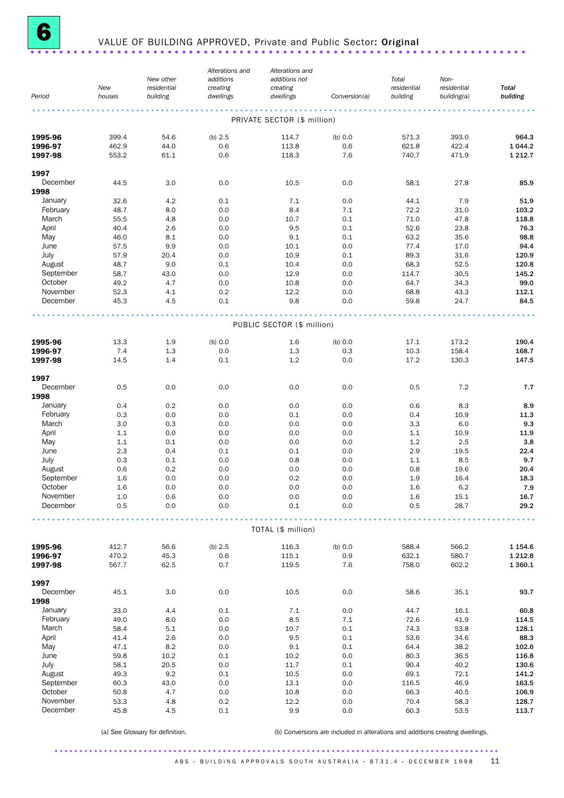

## <sup>6</sup> VALUE OF BUILDING APPROVED, Private and Public Sector: Original .....................................................................

| Period               | New<br>houses  | New other<br>residential<br>building | Alterations and<br>additions<br>creating<br>dwellings | Alterations and<br>additions not<br>creating<br>dwellings | Conversion(a)  | Total<br>residential<br>building | Non-<br>residential<br>building(a) | <b>Total</b><br>building |
|----------------------|----------------|--------------------------------------|-------------------------------------------------------|-----------------------------------------------------------|----------------|----------------------------------|------------------------------------|--------------------------|
|                      |                |                                      |                                                       |                                                           |                |                                  |                                    |                          |
|                      |                |                                      |                                                       | PRIVATE SECTOR (\$ million)                               |                |                                  |                                    |                          |
| 1995-96              | 399.4          | 54.6                                 | (b) $2.5$                                             | 114.7                                                     | (b) 0.0        | 571.3                            | 393.0                              | 964.3                    |
| 1996-97              | 462.9          | 44.0                                 | 0.6                                                   | 113.8                                                     | 0.6            | 621.8                            | 422.4                              | 1 0 4 4.2                |
| 1997-98              | 553.2          | 61.1                                 | 0.6                                                   | 118.3                                                     | 7.6            | 740.7                            | 471.9                              | 1 2 1 2 . 7              |
| 1997                 |                |                                      |                                                       |                                                           |                |                                  |                                    |                          |
| December             | 44.5           | 3.0                                  | 0.0                                                   | 10.5                                                      | 0.0            | 58.1                             | 27.8                               | 85.9                     |
| 1998                 |                |                                      |                                                       |                                                           |                |                                  |                                    |                          |
| January              | 32.6           | 4.2                                  | 0.1                                                   | 7.1                                                       | 0.0            | 44.1                             | 7.9                                | 51.9                     |
| February<br>March    | 48.7<br>55.5   | 8.0<br>4.8                           | 0.0<br>0.0                                            | 8.4<br>10.7                                               | 7.1<br>0.1     | 72.2<br>71.0                     | 31.0<br>47.8                       | 103.2<br>118.8           |
| April                | 40.4           | 2.6                                  | 0.0                                                   | 9.5                                                       | 0.1            | 52.6                             | 23.8                               | 76.3                     |
| May                  | 46.0           | 8.1                                  | 0.0                                                   | 9.1                                                       | 0.1            | 63.2                             | 35.6                               | 98.8                     |
| June                 | 57.5           | 9.9                                  | 0.0                                                   | 10.1                                                      | 0.0            | 77.4                             | 17.0                               | 94.4                     |
| July                 | 57.9           | 20.4                                 | 0.0                                                   | 10.9                                                      | 0.1            | 89.3                             | 31.6                               | 120.9                    |
| August               | 48.7           | 9.0                                  | 0.1                                                   | 10.4                                                      | 0.0            | 68.3                             | 52.5                               | 120.8                    |
| September<br>October | 58.7           | 43.0                                 | 0.0                                                   | 12.9                                                      | 0.0            | 114.7                            | 30.5                               | 145.2                    |
| November             | 49.2<br>52.3   | 4.7<br>4.1                           | 0.0<br>0.2                                            | 10.8<br>12.2                                              | 0.0<br>0.0     | 64.7<br>68.8                     | 34.3<br>43.3                       | 99.0<br>112.1            |
| December             | 45.3           | 4.5                                  | 0.1                                                   | 9.8                                                       | 0.0            | 59.8                             | 24.7                               | 84.5                     |
|                      |                |                                      |                                                       |                                                           |                |                                  |                                    |                          |
|                      |                |                                      |                                                       | PUBLIC SECTOR (\$ million)                                |                |                                  |                                    |                          |
|                      | 13.3           | 1.9                                  | (b) 0.0                                               | 1.6                                                       | (b) 0.0        | 17.1                             | 173.2                              | 190.4                    |
| 1995-96<br>1996-97   | 7.4            | 1.3                                  | 0.0                                                   | 1.3                                                       | 0.3            | 10.3                             | 158.4                              | 168.7                    |
| 1997-98              | 14.5           | 1.4                                  | 0.1                                                   | 1.2                                                       | 0.0            | 17.2                             | 130.3                              | 147.5                    |
| 1997                 |                |                                      |                                                       |                                                           |                |                                  |                                    |                          |
| December             | 0.5            | 0.0                                  | 0.0                                                   | 0.0                                                       | 0.0            | 0.5                              | 7.2                                | 7.7                      |
| 1998                 |                |                                      |                                                       |                                                           |                |                                  |                                    |                          |
| January              | 0.4            | 0.2                                  | 0.0                                                   | 0.0                                                       | 0.0            | 0.6                              | 8.3                                | 8.9                      |
| February<br>March    | 0.3<br>3.0     | 0.0<br>0.3                           | 0.0<br>0.0                                            | 0.1<br>0.0                                                | 0.0<br>0.0     | 0.4<br>3.3                       | 10.9<br>6.0                        | 11.3<br>9.3              |
| April                | 1.1            | 0.0                                  | 0.0                                                   | 0.0                                                       | 0.0            | 1.1                              | 10.9                               | 11.9                     |
| May                  | 1.1            | 0.1                                  | 0.0                                                   | 0.0                                                       | 0.0            | 1.2                              | 2.5                                | 3.8                      |
| June                 | 2.3            | 0.4                                  | 0.1                                                   | 0.1                                                       | 0.0            | 2.9                              | 19.5                               | 22.4                     |
| July                 | 0.3            | 0.1                                  | 0.0                                                   | 0.8                                                       | 0.0            | 1.1                              | 8.5                                | 9.7                      |
| August               | 0.6            | 0.2                                  | 0.0                                                   | 0.0                                                       | 0.0            | 0.8                              | 19.6                               | 20.4                     |
| September            | 1.6            | 0.0                                  | 0.0                                                   | 0.2                                                       | 0.0            | 1.9                              | 16.4                               | 18.3                     |
| October<br>November  | 1.6<br>$1.0\,$ | 0.0                                  | 0.0<br>$0.0\,$                                        | 0.0<br>$0.0\,$                                            | 0.0<br>$0.0\,$ | 1.6                              | 6.2                                | 7.9<br>16.7              |
| December             | 0.5            | 0.6<br>0.0                           | 0.0                                                   | 0.1                                                       | 0.0            | 1.6<br>0.5                       | 15.1<br>28.7                       | 29.2                     |
|                      |                |                                      |                                                       |                                                           |                |                                  |                                    |                          |
|                      |                |                                      |                                                       | TOTAL (\$ million)                                        |                |                                  |                                    |                          |
| 1995-96              | 412.7          | 56.6                                 | (b) 2.5                                               | 116.3                                                     | (b) 0.0        | 588.4                            | 566.2                              | 1 1 5 4 . 6              |
| 1996-97              | 470.2          | 45.3                                 | 0.6                                                   | 115.1                                                     | 0.9            | 632.1                            | 580.7                              | 1 2 1 2.8                |
| 1997-98              | 567.7          | 62.5                                 | 0.7                                                   | 119.5                                                     | 7.6            | 758.0                            | 602.2                              | 1 3 6 0.1                |
| 1997                 |                |                                      |                                                       |                                                           |                |                                  |                                    |                          |
| December             | 45.1           | 3.0                                  | 0.0                                                   | 10.5                                                      | 0.0            | 58.6                             | 35.1                               | 93.7                     |
| 1998                 |                |                                      |                                                       |                                                           |                |                                  |                                    |                          |
| January              | 33.0           | 4.4                                  | 0.1                                                   | 7.1                                                       | 0.0            | 44.7                             | 16.1                               | 60.8                     |
| February<br>March    | 49.0<br>58.4   | 8.0<br>5.1                           | 0.0<br>0.0                                            | 8.5<br>10.7                                               | 7.1<br>0.1     | 72.6<br>74.3                     | 41.9<br>53.8                       | 114.5<br>128.1           |
| April                | 41.4           | 2.6                                  | 0.0                                                   | 9.5                                                       | 0.1            | 53.6                             | 34.6                               | 88.3                     |
| May                  | 47.1           | 8.2                                  | 0.0                                                   | 9.1                                                       | 0.1            | 64.4                             | 38.2                               | 102.6                    |
| June                 | 59.8           | 10.2                                 | 0.1                                                   | 10.2                                                      | 0.0            | 80.3                             | 36.5                               | 116.8                    |
| July                 | 58.1           | 20.5                                 | 0.0                                                   | 11.7                                                      | 0.1            | 90.4                             | 40.2                               | 130.6                    |
| August               | 49.3           | 9.2                                  | 0.1                                                   | 10.5                                                      | 0.0            | 69.1                             | 72.1                               | 141.2                    |
| September            | 60.3           | 43.0                                 | 0.0                                                   | 13.1                                                      | 0.0            | 116.5                            | 46.9                               | 163.5                    |
| October<br>November  | 50.8<br>53.3   | 4.7<br>4.8                           | 0.0<br>0.2                                            | 10.8<br>12.2                                              | 0.0<br>0.0     | 66.3<br>70.4                     | 40.5<br>58.3                       | 106.9<br>128.7           |
| December             | 45.8           | 4.5                                  | 0.1                                                   | 9.9                                                       | 0.0            | 60.3                             | 53.5                               | 113.7                    |
|                      |                |                                      |                                                       |                                                           |                |                                  |                                    |                          |

(a) See Glossary for definition. (b) Conversions are included in alterations and additions creating dwellings.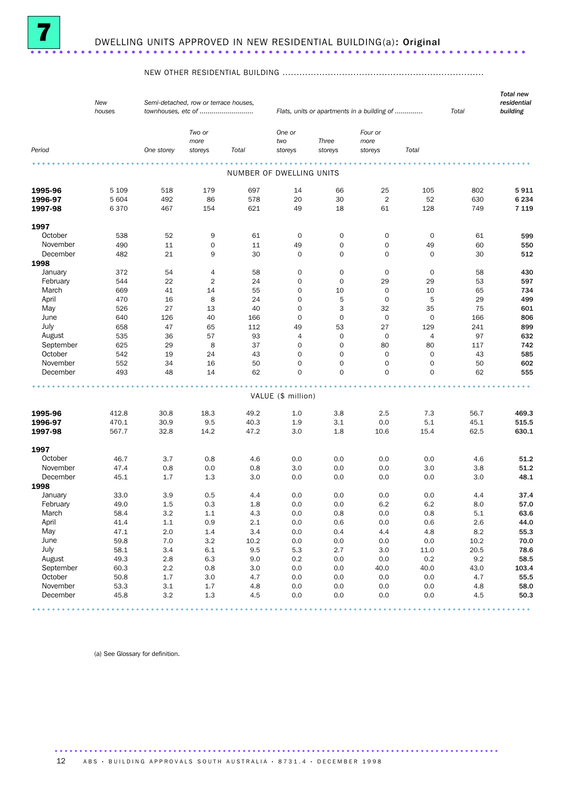

#### NEW OTHER RESIDENTIAL BUILDING .......................................................................

|                      | New<br>houses    | Semi-detached, row or terrace houses,<br>townhouses, etc of |                |            |                          | Flats, units or apartments in a building of | Total                | <b>Total new</b><br>residential<br>building |            |                 |
|----------------------|------------------|-------------------------------------------------------------|----------------|------------|--------------------------|---------------------------------------------|----------------------|---------------------------------------------|------------|-----------------|
|                      |                  |                                                             | Two or<br>more |            | One or<br>two            | Three                                       | Four or<br>more      |                                             |            |                 |
| Period               |                  | One storey                                                  | storeys        | Total      | storeys                  | storeys                                     | storeys              | Total                                       |            |                 |
|                      |                  |                                                             |                |            | NUMBER OF DWELLING UNITS |                                             |                      |                                             |            |                 |
|                      |                  |                                                             |                |            |                          |                                             |                      |                                             |            |                 |
| 1995-96              | 5 1 0 9<br>5 604 | 518<br>492                                                  | 179<br>86      | 697<br>578 | 14<br>20                 | 66<br>30                                    | 25<br>$\overline{2}$ | 105<br>52                                   | 802<br>630 | 5911<br>6 2 3 4 |
| 1996-97<br>1997-98   | 6370             | 467                                                         | 154            | 621        | 49                       | 18                                          | 61                   | 128                                         | 749        | 7 1 1 9         |
|                      |                  |                                                             |                |            |                          |                                             |                      |                                             |            |                 |
| 1997                 |                  |                                                             |                |            |                          |                                             |                      |                                             |            |                 |
| October              | 538              | 52                                                          | 9              | 61         | $\mathbf 0$              | $\mathbf 0$                                 | 0                    | $\mathbf 0$                                 | 61         | 599             |
| November             | 490              | 11                                                          | 0              | 11         | 49                       | $\mathbf 0$                                 | 0                    | 49                                          | 60         | 550             |
| December             | 482              | 21                                                          | 9              | 30         | 0                        | $\mathbf 0$                                 | $\mathbf 0$          | $\mathbf 0$                                 | 30         | 512             |
| 1998                 |                  |                                                             |                |            |                          |                                             |                      |                                             |            |                 |
| January              | 372              | 54                                                          | 4              | 58         | 0                        | 0                                           | 0                    | 0                                           | 58         | 430             |
| February             | 544              | 22                                                          | 2              | 24         | 0                        | $\mathbf 0$                                 | 29                   | 29                                          | 53         | 597             |
| March                | 669              | 41                                                          | 14             | 55         | $\mathbf 0$              | 10                                          | $\mathbf 0$          | 10                                          | 65         | 734             |
| April                | 470              | 16                                                          | 8              | 24         | $\mathbf 0$              | 5                                           | 0                    | 5                                           | 29         | 499             |
| May                  | 526              | 27                                                          | 13             | 40         | $\mathbf 0$              | 3                                           | 32                   | 35                                          | 75         | 601             |
| June                 | 640              | 126                                                         | 40             | 166        | $\mathbf 0$              | $\mathbf 0$                                 | $\mathbf 0$          | $\mathbf 0$                                 | 166        | 806             |
| July                 | 658              | 47                                                          | 65             | 112        | 49                       | 53                                          | 27                   | 129                                         | 241        | 899             |
| August               | 535              | 36                                                          | 57             | 93         | 4                        | $\mathbf 0$                                 | $\mathbf 0$          | 4                                           | 97         | 632             |
| September            | 625              | 29                                                          | 8              | 37         | 0                        | $\mathbf 0$                                 | 80                   | 80                                          | 117        | 742             |
| October              | 542              | 19                                                          | 24             | 43         | $\mathbf 0$              | $\mathbf 0$                                 | $\mathbf 0$          | $\mathbf 0$                                 | 43         | 585             |
| November             | 552              | 34                                                          | 16             | 50         | $\mathbf 0$              | $\mathbf 0$                                 | $\mathbf 0$          | $\mathbf 0$                                 | 50         | 602             |
| December             | 493              | 48                                                          | 14             | 62         | 0                        | $\mathbf 0$                                 | $\Omega$             | $\mathbf 0$                                 | 62         | 555             |
|                      |                  |                                                             |                |            |                          |                                             |                      |                                             |            |                 |
|                      |                  |                                                             |                |            | VALUE (\$ million)       |                                             |                      |                                             |            |                 |
| 1995-96              | 412.8            | 30.8                                                        | 18.3           | 49.2       | 1.0                      | 3.8                                         | 2.5                  | 7.3                                         | 56.7       | 469.3           |
| 1996-97              | 470.1            | 30.9                                                        | 9.5            | 40.3       | 1.9                      | 3.1                                         | 0.0                  | 5.1                                         | 45.1       | 515.5           |
| 1997-98              | 567.7            | 32.8                                                        | 14.2           | 47.2       | 3.0                      | 1.8                                         | 10.6                 | 15.4                                        | 62.5       | 630.1           |
| 1997                 |                  |                                                             |                |            |                          |                                             |                      |                                             |            |                 |
| October              | 46.7             | 3.7                                                         | 0.8            | 4.6        | 0.0                      | 0.0                                         | 0.0                  | 0.0                                         | 4.6        | 51.2            |
| November             | 47.4             | 0.8                                                         | 0.0            | 0.8        | 3.0                      | 0.0                                         | 0.0                  | 3.0                                         | 3.8        | 51.2            |
| December             | 45.1             | 1.7                                                         | 1.3            | 3.0        | 0.0                      | 0.0                                         | 0.0                  | 0.0                                         | 3.0        | 48.1            |
| 1998                 |                  |                                                             |                |            |                          |                                             |                      |                                             |            |                 |
| January              | 33.0             | 3.9                                                         | 0.5            | 4.4        | 0.0                      | 0.0                                         | 0.0                  | 0.0                                         | 4.4        | 37.4            |
| February             | 49.0             | 1.5                                                         | 0.3            | 1.8        | 0.0                      | 0.0                                         | 6.2                  | 6.2                                         | 8.0        | 57.0            |
| March                | 58.4             | 3.2                                                         | 1.1            | 4.3        | 0.0                      | 0.8                                         | 0.0                  | 0.8                                         | 5.1        | 63.6            |
| April                | 41.4             | $1.1\,$                                                     | 0.9            | $2.1\,$    | 0.0                      | 0.6                                         | $0.0\,$              | 0.6                                         | $2.6\,$    | 44.0            |
| May                  | 47.1             | $2.0\,$                                                     | $1.4\,$        | $3.4\,$    | 0.0                      | 0.4                                         | 4.4                  | 4.8                                         | $8.2\,$    | 55.3            |
| June                 | 59.8             | $7.0\,$                                                     |                |            |                          |                                             | 0.0                  |                                             | 10.2       | 70.0            |
|                      |                  |                                                             | 3.2            | 10.2       | 0.0                      | $0.0\,$                                     |                      | $0.0\,$                                     |            |                 |
| July                 | 58.1             | 3.4                                                         | $6.1\,$        | 9.5        | 5.3                      | 2.7                                         | 3.0                  | 11.0                                        | 20.5       | 78.6            |
| August<br>September  | 49.3             | $2.8\,$                                                     | 6.3            | 9.0        | 0.2                      | $0.0\,$                                     | 0.0                  | $0.2\,$                                     | $9.2\,$    | 58.5            |
| October              | 60.3             | 2.2                                                         | 0.8            | 3.0        | 0.0                      | 0.0                                         | 40.0                 | 40.0                                        | 43.0       | 103.4           |
|                      | 50.8             | 1.7                                                         | 3.0            | 4.7        | 0.0                      | 0.0                                         | 0.0                  | 0.0                                         | 4.7        | 55.5            |
| November<br>December | 53.3             | $3.1\,$                                                     | $1.7\,$        | 4.8        | 0.0                      | $0.0\,$                                     | 0.0                  | 0.0                                         | 4.8        | 58.0            |
|                      | 45.8             | $3.2\,$                                                     | $1.3\,$        | 4.5        | 0.0                      | 0.0                                         | 0.0                  | 0.0                                         | 4.5        | 50.3            |
|                      |                  |                                                             |                |            |                          |                                             |                      |                                             |            |                 |

(a) See Glossary for definition.

12 A B S · BUILDING APPROVALS SOUTH AUSTRALIA · 8731.4 · DECEMBER 1998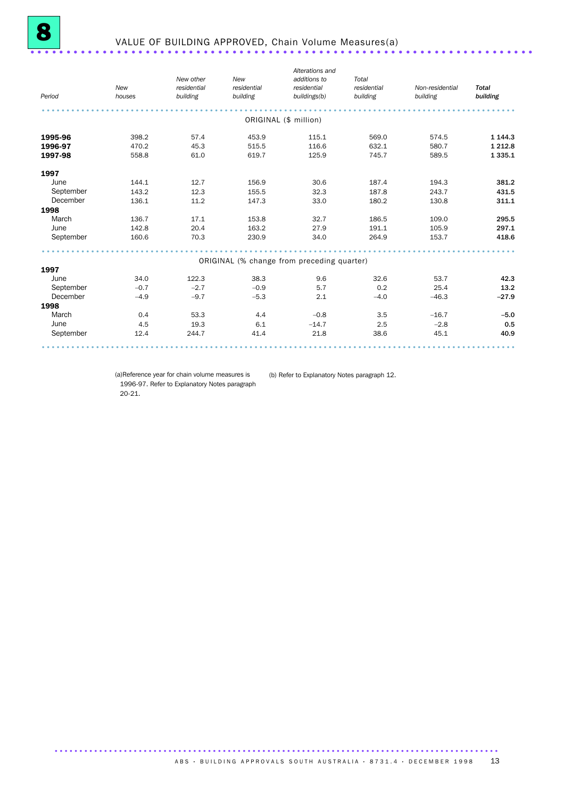| Period    | New<br>houses | New other<br>residential<br>building | New<br>residential<br>building | Alterations and<br>additions to<br>residential<br>buildings(b) | Total<br>residential<br>building | Non-residential<br>building | <b>Total</b><br>building |
|-----------|---------------|--------------------------------------|--------------------------------|----------------------------------------------------------------|----------------------------------|-----------------------------|--------------------------|
|           |               |                                      |                                | ORIGINAL (\$ million)                                          |                                  |                             |                          |
| 1995-96   | 398.2         | 57.4                                 | 453.9                          | 115.1                                                          | 569.0                            | 574.5                       | 1 1 4 4 .3               |
| 1996-97   | 470.2         | 45.3                                 | 515.5                          | 116.6                                                          | 632.1                            | 580.7                       | 1 2 1 2 .8               |
| 1997-98   | 558.8         | 61.0                                 | 619.7                          | 125.9                                                          | 745.7                            | 589.5                       | 1 3 3 5 . 1              |
| 1997      |               |                                      |                                |                                                                |                                  |                             |                          |
| June      | 144.1         | 12.7                                 | 156.9                          | 30.6                                                           | 187.4                            | 194.3                       | 381.2                    |
| September | 143.2         | 12.3                                 | 155.5                          | 32.3                                                           | 187.8                            | 243.7                       | 431.5                    |
| December  | 136.1         | 11.2                                 | 147.3                          | 33.0                                                           | 180.2                            | 130.8                       | 311.1                    |
| 1998      |               |                                      |                                |                                                                |                                  |                             |                          |
| March     | 136.7         | 17.1                                 | 153.8                          | 32.7                                                           | 186.5                            | 109.0                       | 295.5                    |
| June      | 142.8         | 20.4                                 | 163.2                          | 27.9                                                           | 191.1                            | 105.9                       | 297.1                    |
| September | 160.6         | 70.3                                 | 230.9                          | 34.0                                                           | 264.9                            | 153.7                       | 418.6                    |
|           |               |                                      |                                |                                                                |                                  |                             |                          |
| 1997      |               |                                      |                                | ORIGINAL (% change from preceding quarter)                     |                                  |                             |                          |
| June      | 34.0          | 122.3                                | 38.3                           | 9.6                                                            | 32.6                             | 53.7                        | 42.3                     |
| September | $-0.7$        | $-2.7$                               | $-0.9$                         | 5.7                                                            | 0.2                              | 25.4                        | 13.2                     |
| December  | $-4.9$        | $-9.7$                               | $-5.3$                         | 2.1                                                            | $-4.0$                           | $-46.3$                     | $-27.9$                  |
| 1998      |               |                                      |                                |                                                                |                                  |                             |                          |
| March     | 0.4           | 53.3                                 | 4.4                            | $-0.8$                                                         | 3.5                              | $-16.7$                     | $-5.0$                   |
| June      | 4.5           | 19.3                                 | 6.1                            | $-14.7$                                                        | 2.5                              | $-2.8$                      | 0.5                      |
| September | 12.4          | 244.7                                | 41.4                           | 21.8                                                           | 38.6                             | 45.1                        | 40.9                     |
|           |               |                                      |                                |                                                                |                                  |                             |                          |

(a)Reference year for chain volume measures is 1996-97. Refer to Explanatory Notes paragraph 20-21.

(b) Refer to Explanatory Notes paragraph 12.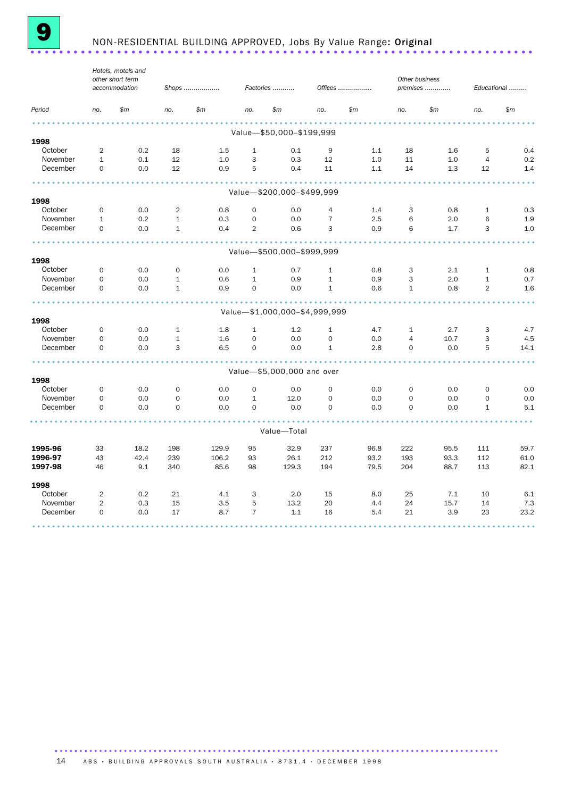

# **9** NON-RESIDENTIAL BUILDING APPROVED, Jobs By Value Range: Original ..................

|                 | Hotels, motels and<br>other short term |               |              |            |                |                               |                |         | Other business |          |                |             |  |
|-----------------|----------------------------------------|---------------|--------------|------------|----------------|-------------------------------|----------------|---------|----------------|----------|----------------|-------------|--|
|                 |                                        | accommodation |              | Shops      |                | Factories                     |                | Offices |                | premises |                | Educational |  |
| Period          | no.                                    | \$m\$         | no.          | \$m\$      | no.            | \$m\$                         | no.            | \$m\$   | no.            | \$m\$    | no.            | \$m\$       |  |
|                 |                                        |               |              |            |                |                               |                |         |                |          |                |             |  |
| 1998            |                                        |               |              |            |                | Value-\$50,000-\$199,999      |                |         |                |          |                |             |  |
| October         | 2                                      | 0.2           | 18           | 1.5        | $\mathbf{1}$   | 0.1                           | 9              | 1.1     | 18             | 1.6      | 5              | 0.4         |  |
| November        | $\mathbf{1}$                           | 0.1           | 12           | 1.0        | 3              | 0.3                           | 12             | 1.0     | 11             | 1.0      | 4              | 0.2         |  |
| December        | $\mathbf 0$                            | 0.0           | 12           | 0.9        | 5              | 0.4                           | 11             | 1.1     | 14             | 1.3      | 12             | 1.4         |  |
|                 |                                        |               |              |            |                |                               |                |         |                |          |                |             |  |
|                 |                                        |               |              |            |                | Value-\$200,000-\$499,999     |                |         |                |          |                |             |  |
| 1998<br>October | $\mathbf 0$                            | 0.0           | 2            |            | $\mathbf 0$    | 0.0                           | 4              | 1.4     | 3              | 0.8      | $\mathbf{1}$   | 0.3         |  |
| November        | $\mathbf{1}$                           | 0.2           | $\mathbf{1}$ | 0.8<br>0.3 | $\mathbf 0$    | 0.0                           | $\overline{7}$ | 2.5     | 6              | 2.0      | 6              | 1.9         |  |
| December        | $\mathbf 0$                            | 0.0           | $\mathbf{1}$ | 0.4        | $\overline{2}$ | 0.6                           | 3              | 0.9     | 6              | 1.7      | 3              | 1.0         |  |
|                 |                                        |               |              |            |                |                               |                |         |                |          |                |             |  |
|                 |                                        |               |              |            |                | Value-\$500,000-\$999,999     |                |         |                |          |                |             |  |
| 1998            |                                        |               |              |            |                |                               |                |         |                |          |                |             |  |
| October         | $\mathbf 0$                            | 0.0           | $\mathbf 0$  | 0.0        | $\mathbf{1}$   | 0.7                           | $\mathbf{1}$   | 0.8     | 3              | 2.1      | $\mathbf{1}$   | 0.8         |  |
| November        | $\mathbf 0$                            | 0.0           | $\mathbf{1}$ | 0.6        | $\mathbf{1}$   | 0.9                           | $1\,$          | 0.9     | 3              | 2.0      | $\mathbf{1}$   | 0.7         |  |
| December        | $\mathbf 0$                            | 0.0           | $1\,$        | 0.9        | $\Omega$       | 0.0                           | $\mathbf 1$    | 0.6     | $\mathbf{1}$   | 0.8      | $\overline{2}$ | 1.6         |  |
|                 |                                        |               |              |            |                | Value-\$1,000,000-\$4,999,999 |                |         |                |          |                |             |  |
| 1998            |                                        |               |              |            |                |                               |                |         |                |          |                |             |  |
| October         | 0                                      | 0.0           | 1            | 1.8        | $\mathbf{1}$   | 1.2                           | 1              | 4.7     | 1              | 2.7      | 3              | 4.7         |  |
| November        | $\mathbf 0$                            | 0.0           | $\mathbf{1}$ | 1.6        | $\mathbf 0$    | 0.0                           | $\mathbf 0$    | 0.0     | 4              | 10.7     | 3              | 4.5         |  |
| December        | $\mathbf 0$                            | 0.0           | 3            | 6.5        | $\Omega$       | 0.0                           | $\mathbf{1}$   | 2.8     | $\mathbf 0$    | 0.0      | 5              | 14.1        |  |
|                 |                                        |               |              |            |                | Value-\$5,000,000 and over    |                |         |                |          |                |             |  |
| 1998            |                                        |               |              |            |                |                               |                |         |                |          |                |             |  |
| October         | $\mathbf 0$                            | 0.0           | 0            | 0.0        | $\mathbf 0$    | 0.0                           | $\mathbf 0$    | 0.0     | $\mathbf 0$    | 0.0      | $\Omega$       | 0.0         |  |
| November        | $\Omega$                               | 0.0           | $\Omega$     | 0.0        | $\mathbf{1}$   | 12.0                          | $\Omega$       | 0.0     | $\Omega$       | 0.0      | $\Omega$       | 0.0         |  |
| December        | $\mathbf 0$                            | 0.0           | $\mathbf 0$  | 0.0        | $\Omega$       | 0.0                           | $\Omega$       | 0.0     | $\Omega$       | 0.0      | $\mathbf{1}$   | 5.1         |  |
|                 |                                        |               |              |            |                | Value-Total                   |                |         |                |          |                |             |  |
|                 |                                        |               |              |            |                |                               |                |         |                |          |                |             |  |
| 1995-96         | 33                                     | 18.2          | 198          | 129.9      | 95             | 32.9                          | 237            | 96.8    | 222            | 95.5     | 111            | 59.7        |  |
| 1996-97         | 43                                     | 42.4          | 239          | 106.2      | 93             | 26.1                          | 212            | 93.2    | 193            | 93.3     | 112            | 61.0        |  |
| 1997-98         | 46                                     | 9.1           | 340          | 85.6       | 98             | 129.3                         | 194            | 79.5    | 204            | 88.7     | 113            | 82.1        |  |
| 1998            |                                        |               |              |            |                |                               |                |         |                |          |                |             |  |
| October         | 2                                      | 0.2           | 21           | 4.1        | 3              | 2.0                           | 15             | 8.0     | 25             | 7.1      | 10             | 6.1         |  |
| November        | 2                                      | 0.3           | 15           | 3.5        | 5              | 13.2                          | 20             | 4.4     | 24             | 15.7     | 14             | 7.3         |  |
| December        | 0                                      | 0.0           | 17           | 8.7        | $\overline{7}$ | 1.1                           | 16             | 5.4     | 21             | 3.9      | 23             | 23.2        |  |
|                 |                                        |               |              |            |                |                               |                |         |                |          |                |             |  |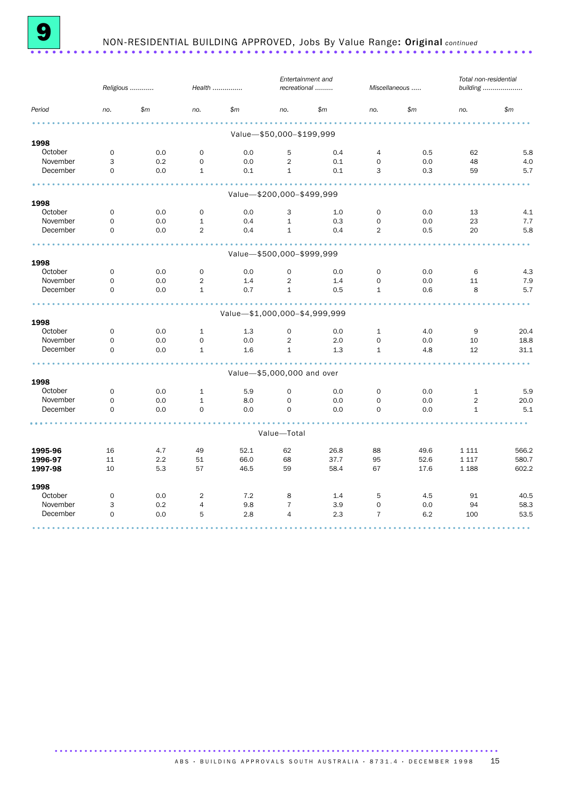

## 9 NON-RESIDENTIAL BUILDING APPROVED, Jobs By Value Range: Original *continued* ......................................................................

|          | Religious   |     | Health         |                               |                            | Entertainment and<br>recreational |                | Miscellaneous |                | Total non-residential<br>building |  |
|----------|-------------|-----|----------------|-------------------------------|----------------------------|-----------------------------------|----------------|---------------|----------------|-----------------------------------|--|
| Period   | no.         | \$m | no.            | \$m\$                         | no.                        | \$m\$                             | no.            | \$m\$         | no.            | \$m\$                             |  |
|          |             |     |                |                               | Value-\$50,000-\$199,999   |                                   |                |               |                |                                   |  |
| 1998     |             |     |                |                               |                            |                                   |                |               |                |                                   |  |
| October  | $\mathbf 0$ | 0.0 | $\mathbf 0$    | 0.0                           | 5                          | 0.4                               | $\overline{4}$ | 0.5           | 62             | 5.8                               |  |
| November | 3           | 0.2 | $\mathbf 0$    | 0.0                           | 2                          | 0.1                               | $\mathbf 0$    | 0.0           | 48             | 4.0                               |  |
| December | $\mathbf 0$ | 0.0 | $\mathbf{1}$   | 0.1                           | $\mathbf{1}$               | 0.1                               | 3              | 0.3           | 59             | 5.7                               |  |
|          |             |     |                |                               | Value-\$200,000-\$499,999  |                                   |                |               |                |                                   |  |
| 1998     |             |     |                |                               |                            |                                   |                |               |                |                                   |  |
| October  | $\mathbf 0$ | 0.0 | $\mathbf 0$    | 0.0                           | 3                          | 1.0                               | $\mathbf 0$    | 0.0           | 13             | 4.1                               |  |
| November | $\mathbf 0$ | 0.0 | $\mathbf{1}$   | 0.4                           | $\mathbf{1}$               | 0.3                               | $\mathbf 0$    | 0.0           | 23             | 7.7                               |  |
| December | $\mathbf 0$ | 0.0 | $\overline{2}$ | 0.4                           | $\mathbf{1}$               | 0.4                               | $\overline{2}$ | 0.5           | 20             | 5.8                               |  |
|          |             |     |                |                               |                            |                                   |                |               |                |                                   |  |
| 1998     |             |     |                |                               | Value-\$500,000-\$999,999  |                                   |                |               |                |                                   |  |
| October  | 0           | 0.0 | $\mathbf 0$    | 0.0                           | $\mathbf 0$                | 0.0                               | $\mathbf 0$    | 0.0           | 6              | 4.3                               |  |
| November | $\Omega$    | 0.0 | $\overline{2}$ | 1.4                           | 2                          | 1.4                               | $\mathbf 0$    | 0.0           | 11             | 7.9                               |  |
| December | $\mathbf 0$ | 0.0 | $\mathbf{1}$   | 0.7                           | $\mathbf{1}$               | 0.5                               | $\mathbf{1}$   | 0.6           | 8              | 5.7                               |  |
|          |             |     |                |                               |                            |                                   |                |               |                |                                   |  |
| 1998     |             |     |                | Value-\$1,000,000-\$4,999,999 |                            |                                   |                |               |                |                                   |  |
| October  | 0           | 0.0 | $\mathbf{1}$   | 1.3                           | 0                          | 0.0                               | 1              | 4.0           | 9              | 20.4                              |  |
| November | $\mathbf 0$ | 0.0 | $\mathbf 0$    | 0.0                           | 2                          | 2.0                               | $\mathbf 0$    | 0.0           | 10             | 18.8                              |  |
| December | $\mathbf 0$ | 0.0 | $\mathbf{1}$   | 1.6                           | $\mathbf{1}$               | 1.3                               | $\mathbf{1}$   | 4.8           | 12             | 31.1                              |  |
|          |             |     |                |                               |                            |                                   |                |               |                |                                   |  |
| 1998     |             |     |                |                               | Value-\$5,000,000 and over |                                   |                |               |                |                                   |  |
| October  | $\mathbf 0$ | 0.0 | $\mathbf{1}$   | 5.9                           | $\mathbf 0$                | 0.0                               | $\mathbf 0$    | 0.0           | $\mathbf{1}$   | 5.9                               |  |
| November | $\mathbf 0$ | 0.0 | $\mathbf{1}$   | 8.0                           | $\mathbf 0$                | 0.0                               | $\mathbf 0$    | 0.0           | $\overline{2}$ | 20.0                              |  |
| December | $\mathbf 0$ | 0.0 | $\mathbf 0$    | 0.0                           | $\mathbf 0$                | 0.0                               | $\mathbf 0$    | 0.0           | $\mathbf{1}$   | 5.1                               |  |
|          |             |     |                |                               | Value-Total                |                                   |                |               |                |                                   |  |
|          |             |     |                |                               |                            |                                   |                |               |                |                                   |  |
| 1995-96  | 16          | 4.7 | 49             | 52.1                          | 62                         | 26.8                              | 88             | 49.6          | 1 1 1 1        | 566.2                             |  |
| 1996-97  | 11          | 2.2 | 51             | 66.0                          | 68                         | 37.7                              | 95             | 52.6          | 1 1 1 7        | 580.7                             |  |
| 1997-98  | 10          | 5.3 | 57             | 46.5                          | 59                         | 58.4                              | 67             | 17.6          | 1 1 8 8        | 602.2                             |  |
| 1998     |             |     |                |                               |                            |                                   |                |               |                |                                   |  |
| October  | $\mathbf 0$ | 0.0 | $\overline{2}$ | 7.2                           | 8                          | 1.4                               | 5              | 4.5           | 91             | 40.5                              |  |
| November | 3           | 0.2 | 4              | 9.8                           | $\overline{7}$             | 3.9                               | $\mathbf 0$    | 0.0           | 94             | 58.3                              |  |
| December | $\mathbf 0$ | 0.0 | 5              | 2.8                           | $\overline{4}$             | 2.3                               | $\overline{7}$ | 6.2           | 100            | 53.5                              |  |
|          |             |     |                |                               |                            |                                   |                |               |                |                                   |  |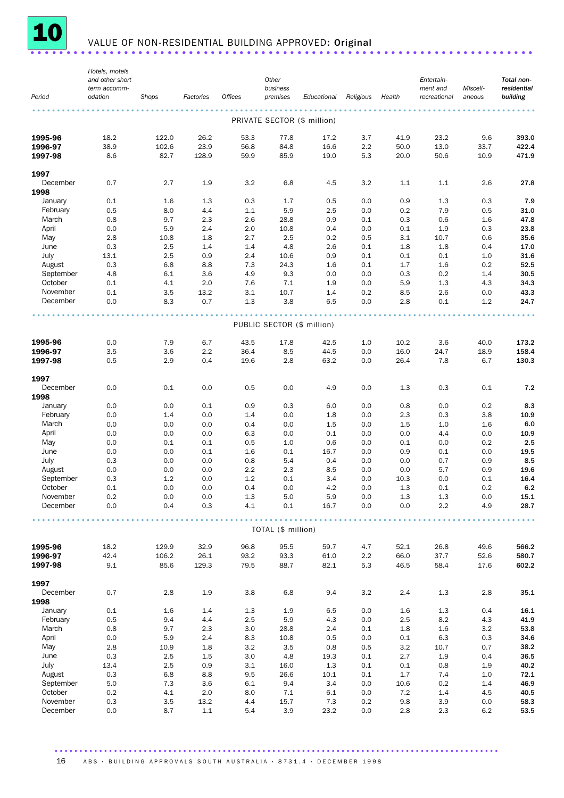

# 10 VALUE OF NON-RESIDENTIAL BUILDING APPROVED: Original ........................

|                      | Hotels, motels<br>and other short |             |            |            | Other              |                             |            |            | Entertain-   |            | Total non-   |
|----------------------|-----------------------------------|-------------|------------|------------|--------------------|-----------------------------|------------|------------|--------------|------------|--------------|
|                      | term accomm-                      |             |            |            | business           |                             |            |            | ment and     | Miscell-   | residential  |
| Period               | odation                           | Shops       | Factories  | Offices    | premises           | Educational                 | Religious  | Health     | recreational | aneous     | building     |
|                      |                                   |             |            |            |                    | PRIVATE SECTOR (\$ million) |            |            |              |            |              |
|                      |                                   |             |            |            |                    |                             |            |            |              |            |              |
| 1995-96              | 18.2                              | 122.0       | 26.2       | 53.3       | 77.8               | 17.2                        | 3.7        | 41.9       | 23.2         | 9.6        | 393.0        |
| 1996-97              | 38.9                              | 102.6       | 23.9       | 56.8       | 84.8               | 16.6                        | 2.2        | 50.0       | 13.0         | 33.7       | 422.4        |
| 1997-98              | 8.6                               | 82.7        | 128.9      | 59.9       | 85.9               | 19.0                        | 5.3        | 20.0       | 50.6         | 10.9       | 471.9        |
| 1997                 |                                   |             |            |            |                    |                             |            |            |              |            |              |
| December             | 0.7                               | 2.7         | 1.9        | 3.2        | 6.8                | 4.5                         | 3.2        | 1.1        | 1.1          | 2.6        | 27.8         |
| 1998                 |                                   |             |            |            |                    |                             |            |            |              |            |              |
| January              | 0.1                               | 1.6         | 1.3        | 0.3        | 1.7                | 0.5                         | 0.0        | 0.9        | 1.3          | 0.3        | 7.9          |
| February             | 0.5                               | 8.0         | 4.4        | 1.1        | 5.9                | 2.5                         | 0.0        | 0.2        | 7.9          | 0.5        | 31.0         |
| March                | 0.8                               | 9.7         | 2.3        | 2.6        | 28.8               | 0.9                         | 0.1        | 0.3        | 0.6          | 1.6        | 47.8         |
| April<br>May         | 0.0<br>2.8                        | 5.9<br>10.8 | 2.4<br>1.8 | 2.0<br>2.7 | 10.8<br>2.5        | 0.4<br>0.2                  | 0.0<br>0.5 | 0.1<br>3.1 | 1.9<br>10.7  | 0.3<br>0.6 | 23.8<br>35.6 |
| June                 | 0.3                               | 2.5         | 1.4        | 1.4        | 4.8                | 2.6                         | 0.1        | 1.8        | 1.8          | 0.4        | 17.0         |
| July                 | 13.1                              | 2.5         | 0.9        | 2.4        | 10.6               | 0.9                         | 0.1        | 0.1        | 0.1          | 1.0        | 31.6         |
| August               | 0.3                               | 6.8         | 8.8        | 7.3        | 24.3               | 1.6                         | 0.1        | 1.7        | 1.6          | 0.2        | 52.5         |
| September            | 4.8                               | 6.1         | 3.6        | 4.9        | 9.3                | 0.0                         | 0.0        | 0.3        | 0.2          | 1.4        | 30.5         |
| October              | 0.1                               | 4.1         | 2.0        | 7.6        | 7.1                | 1.9                         | 0.0        | 5.9        | 1.3          | 4.3        | 34.3         |
| November             | 0.1                               | 3.5         | 13.2       | 3.1        | 10.7               | 1.4                         | 0.2        | 8.5        | 2.6          | 0.0        | 43.3         |
| December             | 0.0                               | 8.3         | 0.7        | 1.3        | 3.8                | 6.5                         | 0.0        | 2.8        | 0.1          | 1.2        | 24.7         |
|                      |                                   |             |            |            |                    |                             |            |            |              |            |              |
|                      |                                   |             |            |            |                    | PUBLIC SECTOR (\$ million)  |            |            |              |            |              |
| 1995-96              | 0.0                               | 7.9         | 6.7        | 43.5       | 17.8               | 42.5                        | 1.0        | 10.2       | 3.6          | 40.0       | 173.2        |
| 1996-97              | 3.5                               | 3.6         | 2.2        | 36.4       | 8.5                | 44.5                        | 0.0        | 16.0       | 24.7         | 18.9       | 158.4        |
| 1997-98              | 0.5                               | 2.9         | 0.4        | 19.6       | 2.8                | 63.2                        | 0.0        | 26.4       | 7.8          | 6.7        | 130.3        |
| 1997                 |                                   |             |            |            |                    |                             |            |            |              |            |              |
| December             | 0.0                               | 0.1         | 0.0        | 0.5        | 0.0                | 4.9                         | 0.0        | 1.3        | 0.3          | 0.1        | 7.2          |
| 1998                 |                                   |             |            |            |                    |                             |            |            |              |            |              |
| January              | 0.0                               | 0.0         | 0.1        | 0.9        | 0.3                | 6.0                         | 0.0        | 0.8        | 0.0          | 0.2        | 8.3          |
| February             | 0.0                               | 1.4         | 0.0        | 1.4        | 0.0                | 1.8                         | 0.0        | 2.3        | 0.3          | 3.8        | 10.9<br>6.0  |
| March<br>April       | 0.0<br>0.0                        | 0.0<br>0.0  | 0.0<br>0.0 | 0.4<br>6.3 | 0.0<br>0.0         | 1.5<br>0.1                  | 0.0<br>0.0 | 1.5<br>0.0 | 1.0<br>4.4   | 1.6<br>0.0 | 10.9         |
| May                  | 0.0                               | 0.1         | 0.1        | 0.5        | 1.0                | 0.6                         | 0.0        | 0.1        | 0.0          | 0.2        | 2.5          |
| June                 | 0.0                               | 0.0         | 0.1        | 1.6        | 0.1                | 16.7                        | 0.0        | 0.9        | 0.1          | 0.0        | 19.5         |
| July                 | 0.3                               | 0.0         | 0.0        | 0.8        | 5.4                | 0.4                         | 0.0        | 0.0        | 0.7          | 0.9        | 8.5          |
| August               | 0.0                               | 0.0         | 0.0        | 2.2        | 2.3                | 8.5                         | 0.0        | 0.0        | 5.7          | 0.9        | 19.6         |
| September            | 0.3                               | 1.2         | 0.0        | 1.2        | 0.1                | 3.4                         | 0.0        | 10.3       | 0.0          | 0.1        | 16.4         |
| October              | 0.1                               | 0.0         | 0.0        | 0.4        | 0.0                | 4.2                         | 0.0        | 1.3        | 0.1          | 0.2        | 6.2          |
| November<br>December | 0.2<br>0.0                        | 0.0<br>0.4  | 0.0<br>0.3 | 1.3<br>4.1 | 5.0<br>0.1         | 5.9<br>16.7                 | 0.0<br>0.0 | 1.3<br>0.0 | 1.3<br>2.2   | 0.0<br>4.9 | 15.1<br>28.7 |
|                      |                                   |             |            |            |                    |                             |            |            |              |            |              |
|                      |                                   |             |            |            | TOTAL (\$ million) |                             |            |            |              |            |              |
| 1995-96              | 18.2                              | 129.9       | 32.9       | 96.8       | 95.5               | 59.7                        | 4.7        | 52.1       | 26.8         | 49.6       | 566.2        |
| 1996-97              | 42.4                              | 106.2       | 26.1       | 93.2       | 93.3               | 61.0                        | 2.2        | 66.0       | 37.7         | 52.6       | 580.7        |
| 1997-98              | 9.1                               | 85.6        | 129.3      | 79.5       | 88.7               | 82.1                        | 5.3        | 46.5       | 58.4         | 17.6       | 602.2        |
| 1997                 |                                   |             |            |            |                    |                             |            |            |              |            |              |
| December             | 0.7                               | 2.8         | 1.9        | 3.8        | 6.8                | 9.4                         | 3.2        | 2.4        | 1.3          | 2.8        | 35.1         |
| 1998                 |                                   |             |            |            |                    |                             |            |            |              |            |              |
| January              | 0.1                               | 1.6         | 1.4        | 1.3        | 1.9                | 6.5                         | 0.0        | 1.6        | 1.3          | 0.4        | 16.1         |
| February             | 0.5                               | 9.4         | 4.4        | 2.5        | 5.9                | 4.3                         | 0.0        | 2.5        | 8.2          | 4.3        | 41.9         |
| March                | 0.8                               | 9.7         | 2.3        | 3.0        | 28.8               | 2.4                         | 0.1        | 1.8        | 1.6          | 3.2        | 53.8         |
| April<br>May         | 0.0<br>2.8                        | 5.9<br>10.9 | 2.4<br>1.8 | 8.3<br>3.2 | 10.8<br>3.5        | 0.5<br>0.8                  | 0.0<br>0.5 | 0.1<br>3.2 | 6.3<br>10.7  | 0.3<br>0.7 | 34.6<br>38.2 |
| June                 | 0.3                               | 2.5         | 1.5        | 3.0        | 4.8                | 19.3                        | 0.1        | 2.7        | 1.9          | 0.4        | 36.5         |
| July                 | 13.4                              | 2.5         | 0.9        | 3.1        | 16.0               | 1.3                         | 0.1        | 0.1        | 0.8          | 1.9        | 40.2         |
| August               | 0.3                               | 6.8         | 8.8        | 9.5        | 26.6               | 10.1                        | 0.1        | 1.7        | 7.4          | 1.0        | 72.1         |
| September            | 5.0                               | 7.3         | 3.6        | 6.1        | 9.4                | 3.4                         | 0.0        | 10.6       | 0.2          | 1.4        | 46.9         |
| October              | 0.2                               | 4.1         | 2.0        | 8.0        | 7.1                | 6.1                         | 0.0        | 7.2        | 1.4          | 4.5        | 40.5         |
| November             | 0.3                               | 3.5         | 13.2       | 4.4        | 15.7               | 7.3                         | 0.2        | 9.8        | 3.9          | 0.0        | 58.3         |
| December             | 0.0                               | 8.7         | 1.1        | 5.4        | 3.9                | 23.2                        | 0.0        | 2.8        | 2.3          | 6.2        | 53.5         |

.......................................................................................... 16 ABS · BUILDING APPROVALS SOUTH AUSTRALIA · 8731.4 · DECEMBER 1998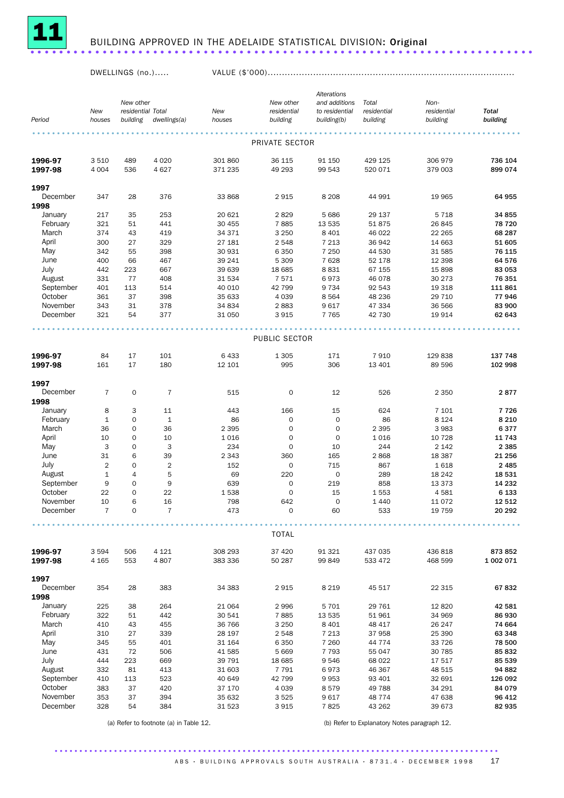

## <sup>11</sup> BUILDING APPROVED IN THE ADELAIDE STATISTICAL DIVISION: Original ......................................................................

#### DWELLINGS (no.)..... VALUE (\$'000).......................................................................................

|              |                |                   |                |                |                            | Alterations                |             |                   |                          |
|--------------|----------------|-------------------|----------------|----------------|----------------------------|----------------------------|-------------|-------------------|--------------------------|
|              |                | New other         |                |                | New other                  | and additions              | Total       | Non-              |                          |
|              | New            | residential Total |                | New            | residential                | to residential             | residential | residential       | <b>Total</b><br>building |
| Period       | houses         | building          | dwellings(a)   | houses         | building                   | building(b)                | building    | building          |                          |
|              |                |                   |                |                |                            |                            |             |                   |                          |
|              |                |                   |                |                | PRIVATE SECTOR             |                            |             |                   |                          |
| 1996-97      | 3510           | 489               | 4 0 20         | 301 860        | 36 115                     | 91 150                     | 429 125     | 306 979           | 736 104                  |
| 1997-98      | 4 0 0 4        | 536               | 4627           | 371 235        | 49 293                     | 99 543                     | 520 071     | 379 003           | 899 074                  |
|              |                |                   |                |                |                            |                            |             |                   |                          |
| 1997         |                |                   |                |                |                            |                            |             |                   |                          |
| December     | 347            | 28                | 376            | 33 868         | 2915                       | 8 2 0 8                    | 44 991      | 19 965            | 64 955                   |
| 1998         |                |                   |                |                |                            |                            |             |                   |                          |
| January      | 217            | 35                | 253            | 20 621         | 2829                       | 5 6 8 6                    | 29 137      | 5 7 1 8           | 34 855                   |
| February     | 321            | 51                | 441            | 30 455         | 7885                       | 13 535                     | 51875       | 26 845            | 78 720                   |
| March        | 374            | 43                | 419            | 34 371         | 3 2 5 0                    | 8 4 0 1                    | 46 022      | 22 265            | 68 287                   |
| April        | 300            | 27                | 329            | 27 181         | 2 5 4 8                    | 7 2 1 3                    | 36942       | 14 663            | 51 605                   |
| May          | 342            | 55                | 398            | 30 931         | 6 3 5 0                    | 7 2 5 0                    | 44 530      | 31 585            | 76 115                   |
| June         | 400            | 66                | 467            | 39 241         | 5 3 0 9                    | 7628                       | 52 178      | 12 3 98           | 64 576                   |
| July         | 442            | 223               | 667            | 39 639         | 18 685                     | 8831                       | 67 155      | 15 898            | 83 053                   |
| August       | 331            | 77                | 408            | 31 534         | 7571                       | 6973                       | 46 0 78     | 30 273            | 76 351                   |
| September    | 401            | 113               | 514            | 40 010         | 42 799                     | 9 7 3 4                    | 92 543      | 19 318            | 111 861                  |
| October      | 361            | 37                | 398            | 35 633         | 4 0 3 9                    | 8 5 6 4                    | 48 236      | 29 710            | 77946                    |
| November     | 343            | 31                | 378            | 34 834         | 2883                       | 9617                       | 47 334      | 36 566            | 83 900                   |
| December     | 321            | 54                | 377            | 31 050         | 3915                       | 7 7 6 5                    | 42 730      | 19 914            | 62 643                   |
|              |                |                   |                |                |                            |                            |             |                   |                          |
|              |                |                   |                |                | PUBLIC SECTOR              |                            |             |                   |                          |
|              |                |                   |                |                |                            |                            |             |                   |                          |
| 1996-97      | 84             | 17                | 101            | 6 4 3 3        | 1 3 0 5                    | 171                        | 7910        | 129 838           | 137 748                  |
| 1997-98      | 161            | 17                | 180            | 12 101         | 995                        | 306                        | 13 401      | 89 596            | 102 998                  |
|              |                |                   |                |                |                            |                            |             |                   |                          |
| 1997         |                |                   |                |                |                            |                            |             |                   |                          |
| December     | $\overline{7}$ | $\mathbf 0$       | $\overline{7}$ | 515            | $\mathbf 0$                | 12                         | 526         | 2 3 5 0           | 2877                     |
| 1998         |                |                   |                |                |                            |                            |             |                   |                          |
| January      | 8              | 3<br>$\mathbf 0$  | 11<br>$1\,$    | 443            | 166                        | 15                         | 624         | 7 101             | 7726                     |
| February     | $\mathbf{1}$   |                   |                | 86             | $\mathbf 0$                | $\mathbf 0$                | 86          | 8 1 2 4           | 8 2 1 0                  |
| March        | 36             | 0<br>0            | 36<br>10       | 2 3 9 5        | $\mathbf 0$<br>$\mathbf 0$ | $\mathbf 0$<br>$\mathbf 0$ | 2 3 9 5     | 3 9 8 3           | 6377<br>11 743           |
| April<br>May | 10<br>3        | 0                 | 3              | 1 0 1 6<br>234 | $\mathsf{O}\xspace$        | 10                         | 1016<br>244 | 10 728<br>2 1 4 2 | 2 3 8 5                  |
| June         | 31             | 6                 | 39             | 2 3 4 3        | 360                        | 165                        | 2868        | 18 387            | 21 256                   |
| <b>July</b>  | $\overline{2}$ | $\mathbf 0$       | $\overline{2}$ | 152            | $\mathbf 0$                | 715                        | 867         | 1618              | 2 4 8 5                  |
| August       | $\mathbf{1}$   | $\overline{4}$    | 5              | 69             | 220                        | 0                          | 289         | 18 24 2           | 18 531                   |
| September    | 9              | 0                 | 9              | 639            | $\mathbf 0$                | 219                        | 858         | 13 373            | 14 232                   |
| October      | 22             | $\mathbf 0$       | 22             | 1538           | $\mathbf 0$                | 15                         | 1553        | 4581              | 6 1 3 3                  |
| November     | 10             | 6                 | 16             | 798            | 642                        | $\mathbf 0$                | 1 4 4 0     | 11 0 72           | 12 512                   |
| December     | $\overline{7}$ | $\Omega$          | $\overline{7}$ | 473            | $\Omega$                   | 60                         | 533         | 19 759            | 20 29 2                  |
|              |                |                   |                |                |                            |                            |             |                   |                          |
|              |                |                   |                |                |                            |                            |             |                   |                          |
|              |                |                   |                |                | <b>TOTAL</b>               |                            |             |                   |                          |
| 1996-97      | 3594           | 506               | 4 1 2 1        | 308 293        | 37 4 20                    | 91 321                     | 437 035     | 436 818           | 873 852                  |
| 1997-98      | 4 1 6 5        | 553               | 4807           | 383 336        | 50 287                     | 99 849                     | 533 472     | 468 599           | 1 002 071                |
|              |                |                   |                |                |                            |                            |             |                   |                          |
| 1997         |                |                   |                |                |                            |                            |             |                   |                          |
| December     | 354            | 28                | 383            | 34 383         | 2915                       | 8 2 1 9                    | 45 517      | 22 315            | 67832                    |
| 1998         |                |                   |                |                |                            |                            |             |                   |                          |
| January      | 225            | 38                | 264            | 21 064         | 2996                       | 5 7 0 1                    | 29 761      | 12 8 20           | 42 581                   |
| February     | 322            | 51                | 442            | 30 541         | 7885                       | 13 535                     | 51961       | 34 969            | 86 930                   |
| March        | 410            | 43                | 455            | 36 766         | 3 2 5 0                    | 8 4 0 1                    | 48 417      | 26 247            | 74 664                   |
| April        | 310            | 27                | 339            | 28 197         | 2 5 4 8                    | 7 2 1 3                    | 37958       | 25 390            | 63 348                   |
| May          | 345            | 55                | 401            | 31 164         | 6 3 5 0                    | 7 2 6 0                    | 44 7 7 4    | 33 7 26           | 78 500                   |
| June         | 431            | 72                | 506            | 41 585         | 5 6 6 9                    | 7 7 9 3                    | 55 047      | 30 785            | 85 832                   |
| July         | 444            | 223               | 669            | 39 791         | 18 6 85                    | 9546                       | 68 0 22     | 17 517            | 85 539                   |
| August       | 332            | 81                | 413            | 31 603         | 7 7 9 1                    | 6973                       | 46 367      | 48 515            | 94 882                   |
| September    | 410            | 113               | 523            | 40 649         | 42 799                     | 9953                       | 93 401      | 32 691            | 126 092                  |
| October      | 383            | 37                | 420            | 37 170         | 4 0 3 9                    | 8579                       | 49 788      | 34 291            | 84 079                   |
| November     | 353            | 37                | 394            | 35 632         | 3525                       | 9617                       | 48774       | 47 638            | 96 412                   |
| December     | 328            | 54                | 384            | 31 523         | 3915                       | 7825                       | 43 262      | 39 673            | 82 935                   |

(a) Refer to footnote (a) in Table 12. (b) Refer to Explanatory Notes paragraph 12.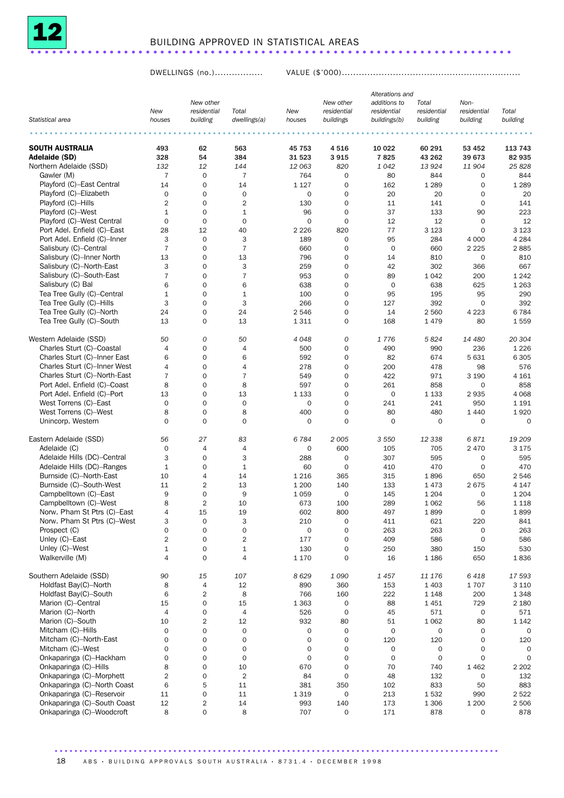

## BUILDING APPROVED IN STATISTICAL AREAS ...................................................................

DWELLINGS (no.)................. VALUE (\$'000)...............................................................

|                              |                | New other               |                       |               | New other                | Alterations and<br>additions to | Total                   | Non-                    |                     |
|------------------------------|----------------|-------------------------|-----------------------|---------------|--------------------------|---------------------------------|-------------------------|-------------------------|---------------------|
| Statistical area             | New<br>houses  | residential<br>building | Total<br>dwellings(a) | New<br>houses | residential<br>buildings | residential<br>buildings(b)     | residential<br>building | residential<br>building | Total<br>building   |
|                              |                |                         |                       |               |                          |                                 |                         |                         |                     |
| <b>SOUTH AUSTRALIA</b>       | 493            | 62                      | 563                   | 45 753        | 4516                     | 10 0 22                         | 60 291                  | 53 452                  | 113 743             |
| Adelaide (SD)                | 328            | 54                      | 384                   | 31 523        | 3915                     | 7825                            | 43 262                  | 39 673                  | 82 935              |
| Northern Adelaide (SSD)      | 132            | 12                      | 144                   | 12 063        | 820                      | 1042                            | 13 9 24                 | 11 904                  | 25828               |
| Gawler (M)                   | $\overline{7}$ | 0                       | $\overline{7}$        | 764           | $\mathbf 0$              | 80                              | 844                     | 0                       | 844                 |
| Playford (C)-East Central    | 14             | 0                       | 14                    |               | $\mathbf 0$              |                                 |                         | 0                       | 1 2 8 9             |
|                              |                |                         |                       | 1 1 2 7       |                          | 162                             | 1 2 8 9                 |                         |                     |
| Playford (C)-Elizabeth       | $\mathbf 0$    | $\mathbf{O}$            | $\mathbf 0$           | $\mathbf 0$   | $\mathbf 0$              | 20                              | 20                      | $\mathbf 0$             | 20                  |
| Playford (C)-Hills           | $\overline{2}$ | $\mathbf{O}$            | $\overline{2}$        | 130           | $\mathbf 0$              | 11                              | 141                     | $\mathbf 0$             | 141                 |
| Playford (C)-West            | $\mathbf{1}$   | 0                       | $\mathbf{1}$          | 96            | $\mathbf 0$              | 37                              | 133                     | 90                      | 223                 |
| Playford (C)-West Central    | $\mathbf 0$    | $\mathbf{O}$            | $\mathbf 0$           | $\mathbf 0$   | $\mathbf 0$              | 12                              | 12                      | $\mathbf 0$             | 12                  |
| Port Adel. Enfield (C)-East  | 28             | 12                      | 40                    | 2 2 2 6       | 820                      | 77                              | 3 1 2 3                 | $\mathbf 0$             | 3 1 2 3             |
| Port Adel. Enfield (C)-Inner | 3              | 0                       | 3                     | 189           | $\mathbf 0$              | 95                              | 284                     | 4 0 0 0                 | 4 2 8 4             |
| Salisbury (C)-Central        | $\overline{7}$ | 0                       | $\overline{7}$        | 660           | $\mathbf 0$              | $\mathbf 0$                     | 660                     | 2 2 2 5                 | 2885                |
| Salisbury (C)-Inner North    | 13             | 0                       | 13                    | 796           | $\mathbf 0$              | 14                              | 810                     | 0                       | 810                 |
| Salisbury (C)-North-East     | 3              | 0                       | 3                     |               | $\mathbf 0$              |                                 |                         | 366                     | 667                 |
|                              |                |                         |                       | 259           |                          | 42                              | 302                     |                         |                     |
| Salisbury (C)-South-East     | $\overline{7}$ | 0                       | $\overline{7}$        | 953           | $\mathbf 0$              | 89                              | 1 0 4 2                 | 200                     | 1 2 4 2             |
| Salisbury (C) Bal            | 6              | $\mathbf{O}$            | 6                     | 638           | $\mathbf 0$              | $\mathbf 0$                     | 638                     | 625                     | 1 2 6 3             |
| Tea Tree Gully (C)-Central   | $\mathbf{1}$   | 0                       | $\mathbf{1}$          | 100           | $\mathbf 0$              | 95                              | 195                     | 95                      | 290                 |
| Tea Tree Gully (C)-Hills     | 3              | $\mathbf{O}$            | 3                     | 266           | $\mathbf 0$              | 127                             | 392                     | $\mathbf 0$             | 392                 |
| Tea Tree Gully (C)-North     | 24             | 0                       | 24                    | 2 5 4 6       | $\mathbf 0$              | 14                              | 2 5 6 0                 | 4 2 2 3                 | 6784                |
| Tea Tree Gully (C)-South     | 13             | 0                       | 13                    | 1 3 1 1       | $\mathbf 0$              | 168                             | 1479                    | 80                      | 1559                |
|                              |                |                         |                       |               |                          |                                 |                         |                         |                     |
| Western Adelaide (SSD)       | 50             | 0                       | 50                    | 4048          | $\boldsymbol{0}$         | 1776                            | 5824                    | 14 480                  | 20 304              |
| Charles Sturt (C)-Coastal    | $\overline{4}$ | 0                       | $\overline{4}$        | 500           | $\mathbf 0$              | 490                             | 990                     | 236                     | 1 2 2 6             |
| Charles Sturt (C)-Inner East | 6              | 0                       | 6                     | 592           | $\mathbf 0$              | 82                              | 674                     | 5631                    | 6 3 0 5             |
| Charles Sturt (C)-Inner West | $\overline{4}$ | 0                       | $\overline{4}$        | 278           | $\mathbf 0$              | 200                             | 478                     | 98                      | 576                 |
| Charles Sturt (C)-North-East |                | $\mathbf{O}$            |                       | 549           | $\mathbf 0$              |                                 |                         |                         |                     |
|                              | 7              |                         | $\overline{7}$        |               |                          | 422                             | 971                     | 3 1 9 0                 | 4 1 6 1             |
| Port Adel. Enfield (C)-Coast | 8              | 0                       | 8                     | 597           | $\mathbf 0$              | 261                             | 858                     | 0                       | 858                 |
| Port Adel. Enfield (C)-Port  | 13             | 0                       | 13                    | 1 1 3 3       | $\mathbf 0$              | $\mathbf 0$                     | 1 1 3 3                 | 2935                    | 4 0 6 8             |
| West Torrens (C)-East        | $\mathbf 0$    | 0                       | $\mathbf 0$           | $\mathbf 0$   | $\Omega$                 | 241                             | 241                     | 950                     | 1 1 9 1             |
| West Torrens (C)-West        | 8              | 0                       | 8                     | 400           | $\mathbf 0$              | 80                              | 480                     | 1 4 4 0                 | 1920                |
| Unincorp. Western            | $\Omega$       | $\mathbf{O}$            | $\mathbf 0$           | $\mathbf 0$   | $\mathbf 0$              | $\mathbf 0$                     | $\mathbf{O}$            | $\mathbf 0$             | $\mathbf 0$         |
|                              |                |                         |                       |               |                          |                                 |                         |                         |                     |
| Eastern Adelaide (SSD)       | 56             | 27                      | 83                    | 6784          | 2005                     | 3 5 5 0                         | 12 338                  | 6871                    | 19 209              |
| Adelaide (C)                 | 0              | 4                       | $\overline{4}$        | $\mathbf 0$   | 600                      | 105                             | 705                     | 2 4 7 0                 | 3 1 7 5             |
| Adelaide Hills (DC)-Central  | 3              | 0                       | 3                     | 288           | $\mathbf 0$              | 307                             | 595                     | 0                       | 595                 |
| Adelaide Hills (DC)-Ranges   | 1              | $\mathbf{O}$            | $\mathbf{1}$          | 60            | $\mathbf 0$              | 410                             | 470                     | $\mathbf 0$             | 470                 |
| Burnside (C)-North-East      | 10             | 4                       | 14                    | 1 2 1 6       | 365                      | 315                             | 1896                    | 650                     | 2546                |
| Burnside (C)-South-West      | 11             | $\overline{2}$          | 13                    | 1 200         | 140                      | 133                             | 1473                    | 2675                    | 4 1 4 7             |
| Campbelltown (C)-East        | 9              | 0                       | 9                     | 1 0 5 9       | $\mathbf 0$              | 145                             | 1 2 0 4                 | $\mathbf 0$             | 1 2 0 4             |
| Campbelltown (C)-West        | 8              | $\overline{2}$          | 10                    | 673           | 100                      | 289                             | 1 0 6 2                 | 56                      | 1 1 1 8             |
| Norw. P'ham St Ptrs (C)-East | 4              | 15                      | 19                    | 602           | 800                      | 497                             | 1899                    | $\Omega$                | 1899                |
| Norw. P'ham St Ptrs (C)-West | 3              | 0                       | 3                     | 210           |                          |                                 |                         | 220                     | 841                 |
|                              |                |                         |                       |               | 0                        | 411                             | 621                     |                         |                     |
| Prospect (C)                 | $\mathbf 0$    | 0                       | $\mathsf{O}\xspace$   | $\mathbf 0$   | $\mathsf{O}\xspace$      | 263                             | 263                     | 0                       | 263                 |
| Unley (C)-East               | $\overline{2}$ | 0                       | $\sqrt{2}$            | 177           | $\mathbf 0$              | 409                             | 586                     | $\mathbf 0$             | 586                 |
| Unley (C)-West               | $\mathbf{1}$   | 0                       | $\mathbf{1}$          | 130           | 0                        | 250                             | 380                     | 150                     | 530                 |
| Walkerville (M)              | 4              | 0                       | $\overline{4}$        | 1 1 7 0       | $\mathbf 0$              | 16                              | 1 1 8 6                 | 650                     | 1836                |
| Southern Adelaide (SSD)      |                |                         |                       |               |                          |                                 |                         |                         | 17 593              |
|                              | 90             | 15                      | 107                   | 8629          | 1090                     | 1457                            | 11 176                  | 6418                    |                     |
| Holdfast Bay(C)-North        | 8              | $\overline{a}$          | 12                    | 890           | 360                      | 153                             | 1 4 0 3                 | 1707                    | 3 1 1 0             |
| Holdfast Bay(C)-South        | 6              | 2                       | 8                     | 766           | 160                      | 222                             | 1 1 4 8                 | 200                     | 1 3 4 8             |
| Marion (C)-Central           | 15             | 0                       | 15                    | 1 3 6 3       | $\mathsf{O}\xspace$      | 88                              | 1451                    | 729                     | 2 1 8 0             |
| Marion (C)-North             | $\overline{4}$ | 0                       | 4                     | 526           | $\mathsf{O}\xspace$      | 45                              | 571                     | 0                       | 571                 |
| Marion (C)-South             | 10             | 2                       | 12                    | 932           | 80                       | 51                              | 1 0 6 2                 | 80                      | 1 1 4 2             |
| Mitcham (C)-Hills            | $\mathbf 0$    | 0                       | 0                     | $\mathbf 0$   | $\mathbf 0$              | $\mathbf 0$                     | 0                       | 0                       | 0                   |
| Mitcham (C)-North-East       | 0              | 0                       | 0                     | 0             | $\mathsf{O}\xspace$      | 120                             | 120                     | 0                       | 120                 |
| Mitcham (C)-West             | 0              | 0                       | 0                     | 0             | $\mathbf 0$              | 0                               | 0                       | 0                       | 0                   |
|                              |                |                         |                       |               |                          |                                 |                         |                         |                     |
| Onkaparinga (C)-Hackham      | $\mathbf 0$    | 0                       | 0                     | $\mathbf 0$   | $\mathbf 0$              | $\mathsf{O}\xspace$             | $\mathbf 0$             | 0                       | $\mathsf{O}\xspace$ |
| Onkaparinga (C)-Hills        | 8              | 0                       | 10                    | 670           | $\mathbf 0$              | 70                              | 740                     | 1462                    | 2 2 0 2             |
| Onkaparinga (C)-Morphett     | $\overline{2}$ | 0                       | $\sqrt{2}$            | 84            | $\mathbf 0$              | 48                              | 132                     | 0                       | 132                 |
| Onkaparinga (C)-North Coast  | 6              | 5                       | 11                    | 381           | 350                      | 102                             | 833                     | 50                      | 883                 |
| Onkaparinga (C)-Reservoir    | 11             | 0                       | 11                    | 1 3 1 9       | $\mathsf{O}\xspace$      | 213                             | 1532                    | 990                     | 2522                |
| Onkaparinga (C)-South Coast  | 12             | 2                       | 14                    | 993           | 140                      | 173                             | 1 3 0 6                 | 1 200                   | 2 5 0 6             |
| Onkaparinga (C)-Woodcroft    | 8              | 0                       | 8                     | 707           | $\mathbf 0$              | 171                             | 878                     | 0                       | 878                 |

18 ABS · BUILDING APPROVALS SOUTH AUSTRALIA · 8731.4 · DECEMBER 1998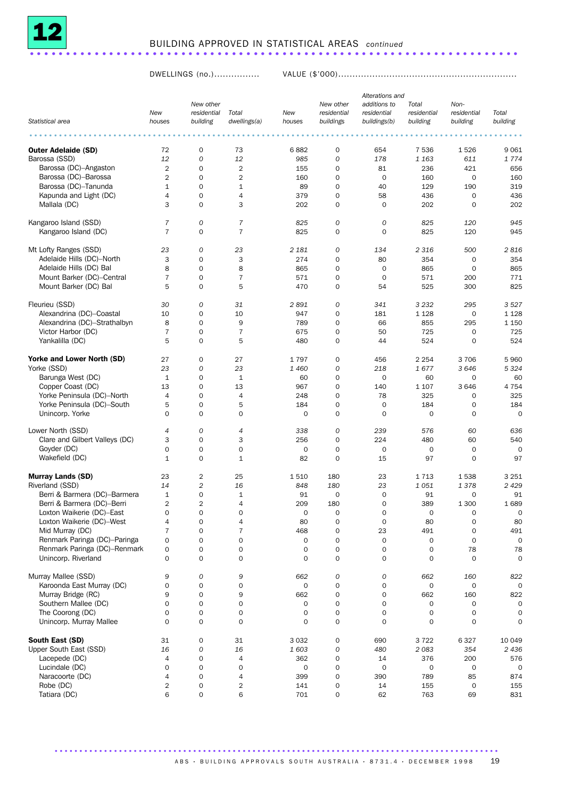

#### BUILDING APPROVED IN STATISTICAL AREAS *continued* ....................................................................

DWELLINGS (no.)................ VALUE (\$'000)...............................................................

|                                |                |                          |                         |             |                          | Alterations and             |                      |                     |                     |
|--------------------------------|----------------|--------------------------|-------------------------|-------------|--------------------------|-----------------------------|----------------------|---------------------|---------------------|
|                                | New            | New other<br>residential | Total                   | New         | New other<br>residential | additions to<br>residential | Total<br>residential | Non-<br>residential | Total               |
| Statistical area               | houses         | building                 | dwellings(a)            | houses      | buildings                | buildings(b)                | building             | building            | building            |
|                                |                |                          |                         |             |                          |                             |                      |                     |                     |
| <b>Outer Adelaide (SD)</b>     | 72             | $\mathbf 0$              | 73                      | 6882        | $\mathbf 0$              | 654                         | 7536                 | 1526                | 9 0 6 1             |
| Barossa (SSD)                  | 12             | 0                        | 12                      | 985         | 0                        | 178                         | 1 1 6 3              | 611                 | 1774                |
| Barossa (DC)-Angaston          | 2              | $\mathbf 0$              | $\overline{\mathbf{c}}$ | 155         | 0                        | 81                          | 236                  | 421                 | 656                 |
| Barossa (DC)-Barossa           | 2              | $\mathbf 0$              | $\overline{\mathbf{c}}$ | 160         | 0                        | $\mathbf 0$                 | 160                  | $\mathbf 0$         | 160                 |
| Barossa (DC)-Tanunda           | $\mathbf{1}$   | 0                        | $\mathbf{1}$            | 89          | $\mathbf 0$              | 40                          | 129                  | 190                 | 319                 |
| Kapunda and Light (DC)         | 4              | $\mathbf 0$              | $\overline{4}$          | 379         | 0                        | 58                          | 436                  | $\mathbf 0$         | 436                 |
| Mallala (DC)                   | 3              | $\mathbf 0$              | 3                       | 202         | 0                        | 0                           | 202                  | $\mathbf 0$         | 202                 |
| Kangaroo Island (SSD)          | 7              | 0                        | $\overline{7}$          | 825         | 0                        | $\mathcal{O}$               | 825                  | 120                 | 945                 |
| Kangaroo Island (DC)           | $\overline{7}$ | 0                        | $\overline{7}$          | 825         | 0                        | 0                           | 825                  | 120                 | 945                 |
| Mt Lofty Ranges (SSD)          | 23             | 0                        | 23                      | 2 1 8 1     | 0                        | 134                         | 2 3 1 6              | 500                 | 2816                |
| Adelaide Hills (DC)-North      | 3              | $\mathbf 0$              | 3                       | 274         | 0                        | 80                          | 354                  | $\mathbf 0$         | 354                 |
| Adelaide Hills (DC) Bal        | 8              | $\mathbf 0$              | 8                       | 865         | 0                        | $\mathbf 0$                 | 865                  | $\mathbf 0$         | 865                 |
| Mount Barker (DC)-Central      | $\overline{7}$ | 0                        | $\overline{7}$          | 571         | 0                        | 0                           | 571                  | 200                 | 771                 |
| Mount Barker (DC) Bal          | 5              | $\mathbf 0$              | 5                       | 470         | 0                        | 54                          | 525                  | 300                 | 825                 |
| Fleurieu (SSD)                 | 30             | 0                        | 31                      | 2 891       | 0                        | 341                         | 3 2 3 2              | 295                 | 3527                |
| Alexandrina (DC)-Coastal       | 10             | $\mathbf 0$              | 10                      | 947         | 0                        | 181                         | 1 1 2 8              | $\mathbf 0$         | 1 1 2 8             |
| Alexandrina (DC)-Strathalbyn   | 8              | 0                        | 9                       | 789         | 0                        | 66                          | 855                  | 295                 | 1 1 5 0             |
| Victor Harbor (DC)             | $\overline{7}$ | $\mathbf 0$              | $\overline{7}$          | 675         | 0                        | 50                          | 725                  | $\mathbf 0$         | 725                 |
| Yankalilla (DC)                | 5              | $\mathbf 0$              | 5                       | 480         | 0                        | 44                          | 524                  | 0                   | 524                 |
| Yorke and Lower North (SD)     | 27             | $\mathbf 0$              | 27                      | 1797        | $\mathbf 0$              | 456                         | 2 2 5 4              | 3706                | 5 960               |
| Yorke (SSD)                    | 23             | 0                        | 23                      | 1460        | 0                        | 218                         | 1677                 | 3646                | 5 3 2 4             |
| Barunga West (DC)              | $\mathbf{1}$   | $\mathbf 0$              | $\mathbf 1$             | 60          | 0                        | $\mathbf 0$                 | 60                   | $\mathbf 0$         | 60                  |
| Copper Coast (DC)              | 13             | 0                        | 13                      | 967         | 0                        | 140                         | 1 1 0 7              | 3646                | 4 7 5 4             |
| Yorke Peninsula (DC)-North     | $\overline{4}$ | $\mathbf 0$              | $\overline{4}$          | 248         | 0                        | 78                          | 325                  | $\mathbf 0$         | 325                 |
| Yorke Peninsula (DC)-South     | 5              | $\mathbf 0$              | 5                       | 184         | 0                        | $\mathbf 0$                 | 184                  | $\mathbf 0$         | 184                 |
| Unincorp. Yorke                | $\mathbf 0$    | 0                        | 0                       | 0           | 0                        | 0                           | $\mathbf 0$          | 0                   | $\mathbf 0$         |
| Lower North (SSD)              | 4              | 0                        | 4                       | 338         | 0                        | 239                         | 576                  | 60                  | 636                 |
| Clare and Gilbert Valleys (DC) | 3              | $\mathbf 0$              | 3                       | 256         | 0                        | 224                         | 480                  | 60                  | 540                 |
| Goyder (DC)                    | $\mathbf 0$    | $\mathbf 0$              | 0                       | 0           | 0                        | 0                           | 0                    | $\mathbf 0$         | $\Omega$            |
| Wakefield (DC)                 | $\mathbf{1}$   | $\mathbf 0$              | $1\,$                   | 82          | 0                        | 15                          | 97                   | $\mathbf 0$         | 97                  |
| <b>Murray Lands (SD)</b>       | 23             | 2                        | 25                      | 1510        | 180                      | 23                          | 1713                 | 1538                | 3 2 5 1             |
| Riverland (SSD)                | 14             | $\overline{c}$           | 16                      | 848         | 180                      | 23                          | 1051                 | 1378                | 2 4 2 9             |
| Berri & Barmera (DC)-Barmera   | $\mathbf{1}$   | 0                        | 1                       | 91          | 0                        | 0                           | 91                   | 0                   | 91                  |
| Berri & Barmera (DC)-Berri     | 2              | $\overline{2}$           | 4                       | 209         | 180                      | 0                           | 389                  | 1 300               | 1689                |
| Loxton Waikerie (DC)-East      | 0              | $\Omega$                 | $\Omega$                | 0           | 0                        | $\Omega$                    | 0                    | 0                   | $\Omega$            |
| Loxton Waikerie (DC)-West      | 4              | 0                        | 4                       | 80          | 0                        | $\mathsf{O}\xspace$         | 80                   | $\mathsf{O}\xspace$ | 80                  |
| Mid Murray (DC)                | 7              | $\mathsf{O}\xspace$      | $\overline{7}$          | 468         | 0                        | 23                          | 491                  | 0                   | 491                 |
| Renmark Paringa (DC)-Paringa   | 0              | $\mathbf 0$              | 0                       | 0           | 0                        | $\mathsf{O}\xspace$         | $\mathbf 0$          | 0                   | $\mathbf 0$         |
| Renmark Paringa (DC)-Renmark   | 0              | $\mathbf 0$              | 0                       | $\mathbf 0$ | 0                        | 0                           | $\mathbf 0$          | 78                  | 78                  |
| Unincorp. Riverland            | $\mathbf 0$    | $\mathsf{O}\xspace$      | 0                       | 0           | 0                        | 0                           | $\mathbf 0$          | $\mathbf 0$         | $\mathbf 0$         |
| Murray Mallee (SSD)            | 9              | 0                        | 9                       | 662         | 0                        | 0                           | 662                  | 160                 | 822                 |
| Karoonda East Murray (DC)      | 0              | $\mathbf 0$              | 0                       | 0           | 0                        | 0                           | $\mathbf 0$          | $\mathsf{O}\xspace$ | 0                   |
| Murray Bridge (RC)             | 9              | $\mathbf 0$              | 9                       | 662         | 0                        | 0                           | 662                  | 160                 | 822                 |
| Southern Mallee (DC)           | 0              | $\mathsf{O}\xspace$      | 0                       | 0           | 0                        | 0                           | $\mathbf 0$          | 0                   | $\mathbf 0$         |
| The Coorong (DC)               | 0              | 0                        | 0                       | 0           | 0                        | 0                           | 0                    | $\mathsf{O}\xspace$ | 0                   |
| Unincorp. Murray Mallee        | $\mathbf 0$    | $\mathsf{O}\xspace$      | $\mathsf{O}\xspace$     | 0           | 0                        | 0                           | $\mathbf 0$          | 0                   | $\mathbf 0$         |
| South East (SD)                | 31             | 0                        | 31                      | 3 0 3 2     | 0                        | 690                         | 3722                 | 6327                | 10 049              |
| Upper South East (SSD)         | 16             | ${\cal O}$               | 16                      | 1603        | 0                        | 480                         | 2083                 | 354                 | 2 4 3 6             |
| Lacepede (DC)                  | 4              | 0                        | 4                       | 362         | 0                        | 14                          | 376                  | 200                 | 576                 |
| Lucindale (DC)                 | 0              | $\mathbf 0$              | 0                       | 0           | 0                        | 0                           | $\mathbf 0$          | $\mathsf{O}\xspace$ | $\mathsf{O}\xspace$ |
| Naracoorte (DC)                | 4              | 0                        | 4                       | 399         | 0                        | 390                         | 789                  | 85                  | 874                 |
| Robe (DC)                      | 2              | 0                        | $\overline{\mathbf{c}}$ | 141         | 0                        | 14                          | 155                  | $\mathsf{O}\xspace$ | 155                 |
| Tatiara (DC)                   | 6              | $\mathsf{O}\xspace$      | 6                       | 701         | 0                        | 62                          | 763                  | 69                  | 831                 |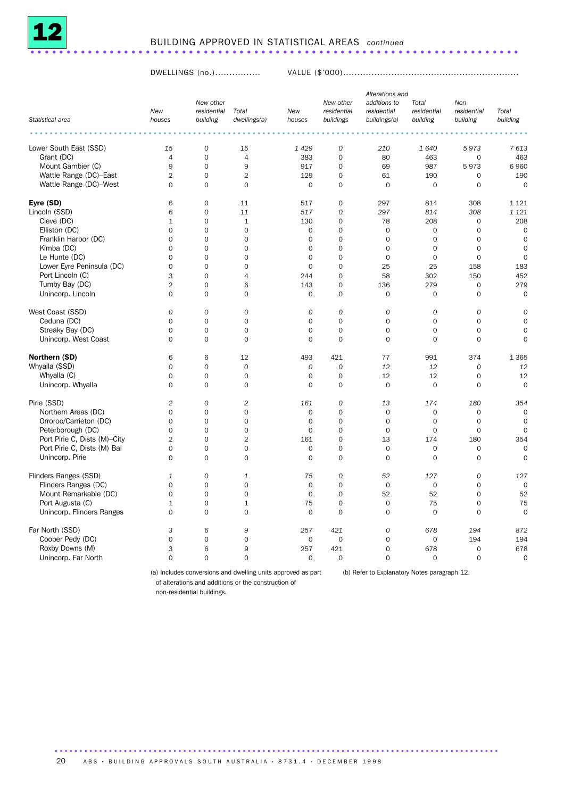

#### BUILDING APPROVED IN STATISTICAL AREAS *continued* ....................................................................

DWELLINGS (no.)................ VALUE (\$'000)..............................................................

|                              |                |                          |                |             |                                                                                                                 | Alterations and             |                      |                     |                |
|------------------------------|----------------|--------------------------|----------------|-------------|-----------------------------------------------------------------------------------------------------------------|-----------------------------|----------------------|---------------------|----------------|
|                              | New            | New other<br>residential | Total          | New         | New other<br>residential                                                                                        | additions to<br>residential | Total<br>residential | Non-<br>residential | Total          |
| Statistical area             | houses         | building                 | dwellings(a)   | houses      | buildings                                                                                                       | buildings(b)                | building             | building            | building       |
|                              |                | $\cdots$                 |                |             | $\begin{array}{cccccccccccccc} \bullet & \bullet & \bullet & \bullet & \bullet & \bullet & \bullet \end{array}$ |                             |                      |                     |                |
| Lower South East (SSD)       | 15             | $\cal O$                 | 15             | 1 4 2 9     | $\cal O$                                                                                                        | 210                         | 1640                 | 5973                | 7613           |
| Grant (DC)                   | $\overline{4}$ | $\mathbf 0$              | $\overline{4}$ | 383         | $\mathbf 0$                                                                                                     | 80                          | 463                  | $\mathbf 0$         | 463            |
| Mount Gambier (C)            | 9              | $\mathbf 0$              | 9              | 917         | $\mathbf 0$                                                                                                     | 69                          | 987                  | 5973                | 6960           |
| Wattle Range (DC)-East       | $\overline{2}$ | $\mathbf 0$              | $\overline{2}$ | 129         | $\mathbf 0$                                                                                                     | 61                          | 190                  | 0                   | 190            |
| Wattle Range (DC)-West       | $\Omega$       | $\Omega$                 | $\Omega$       | $\Omega$    | $\Omega$                                                                                                        | $\Omega$                    | $\mathbf 0$          | 0                   | $\Omega$       |
| Eyre (SD)                    | 6              | $\mathbf 0$              | 11             | 517         | 0                                                                                                               | 297                         | 814                  | 308                 | 1 1 2 1        |
| Lincoln (SSD)                | 6              | $\mathcal{O}$            | 11             | 517         | $\overline{O}$                                                                                                  | 297                         | 814                  | 308                 | 1 1 2 1        |
| Cleve (DC)                   | $\mathbf{1}$   | $\mathbf 0$              | $\mathbf{1}$   | 130         | $\mathbf 0$                                                                                                     | 78                          | 208                  | 0                   | 208            |
| Elliston (DC)                | $\mathbf 0$    | $\mathbf 0$              | $\mathbf 0$    | $\mathbf 0$ | $\mathbf 0$                                                                                                     | 0                           | $\mathbf 0$          | $\mathsf{O}\xspace$ | $\mathbf 0$    |
| Franklin Harbor (DC)         | 0              | $\mathbf 0$              | $\mathbf 0$    | 0           | $\mathbf 0$                                                                                                     | $\mathbf 0$                 | $\mathbf 0$          | 0                   | $\mathbf 0$    |
| Kimba (DC)                   | $\Omega$       | $\Omega$                 | $\Omega$       | $\Omega$    | $\Omega$                                                                                                        | $\Omega$                    | $\Omega$             | $\Omega$            | $\Omega$       |
| Le Hunte (DC)                | $\mathbf 0$    | $\mathbf 0$              | $\mathbf 0$    | 0           | $\mathbf 0$                                                                                                     | $\mathbf 0$                 | $\mathbf 0$          | $\mathbf 0$         | $\Omega$       |
| Lower Eyre Peninsula (DC)    | $\mathbf 0$    | 0                        | $\mathbf 0$    | $\mathbf 0$ | $\overline{0}$                                                                                                  | 25                          | 25                   | 158                 | 183            |
| Port Lincoln (C)             | 3              | $\mathbf 0$              | $\overline{4}$ | 244         | 0                                                                                                               | 58                          | 302                  | 150                 | 452            |
| Tumby Bay (DC)               | $\overline{2}$ | 0                        | 6              | 143         | 0                                                                                                               | 136                         | 279                  | $\mathsf{O}\xspace$ | 279            |
| Unincorp. Lincoln            | $\mathbf 0$    | $\mathbf 0$              | $\mathbf 0$    | $\mathbf 0$ | $\mathbf 0$                                                                                                     | 0                           | $\mathbf 0$          | 0                   | $\mathbf 0$    |
|                              |                |                          |                |             |                                                                                                                 |                             |                      |                     |                |
| West Coast (SSD)             | $\Omega$       | $\Omega$                 | 0              | $\Omega$    | $\Omega$                                                                                                        | $\overline{O}$              | $\mathcal{O}$        | $\Omega$            | $\Omega$       |
| Ceduna (DC)                  | $\mathbf 0$    | $\mathbf 0$              | $\mathbf 0$    | 0           | $\mathbf 0$                                                                                                     | $\mathbf 0$                 | $\mathbf 0$          | $\mathbf 0$         | $\Omega$       |
| Streaky Bay (DC)             | $\mathbf 0$    | $\mathbf 0$              | $\mathbf 0$    | 0           | $\mathbf 0$                                                                                                     | $\mathbf 0$                 | 0                    | $\mathsf{O}\xspace$ | $\mathbf 0$    |
| Unincorp. West Coast         | $\mathbf 0$    | $\mathbf 0$              | $\mathbf 0$    | 0           | $\mathbf 0$                                                                                                     | $\mathbf 0$                 | $\mathbf 0$          | $\mathbf 0$         | $\mathbf 0$    |
| Northern (SD)                | 6              | 6                        | 12             | 493         | 421                                                                                                             | 77                          | 991                  | 374                 | 1 3 6 5        |
| Whyalla (SSD)                | $\Omega$       | $\Omega$                 | $\mathcal{O}$  | $\Omega$    | $\Omega$                                                                                                        | 12                          | 12                   | $\mathcal{O}$       | 12             |
| Whyalla (C)                  | $\mathbf 0$    | $\mathbf 0$              | $\mathbf 0$    | 0           | $\mathbf 0$                                                                                                     | 12                          | 12                   | $\mathbf 0$         | 12             |
| Unincorp. Whyalla            | $\mathbf 0$    | $\mathbf 0$              | $\mathbf 0$    | 0           | $\circ$                                                                                                         | $\mathbf 0$                 | $\mathbf 0$          | $\mathbf 0$         | $\mathbf 0$    |
|                              |                |                          |                |             |                                                                                                                 |                             |                      |                     |                |
| Pirie (SSD)                  | $\overline{2}$ | $\mathcal{O}$            | $\overline{2}$ | 161         | $\overline{O}$                                                                                                  | 13                          | 174                  | 180                 | 354            |
| Northern Areas (DC)          | 0              | $\mathbf 0$              | $\mathbf 0$    | $\mathbf 0$ | $\mathbf 0$                                                                                                     | 0                           | $\mathbf 0$          | 0                   | $\mathbf 0$    |
| Orroroo/Carrieton (DC)       | $\Omega$       | $\Omega$                 | $\Omega$       | $\Omega$    | $\Omega$                                                                                                        | $\Omega$                    | $\Omega$             | $\Omega$            | $\Omega$       |
| Peterborough (DC)            | $\mathbf 0$    | $\mathbf 0$              | $\mathbf 0$    | 0           | $\mathbf 0$                                                                                                     | $\mathbf 0$                 | $\mathbf 0$          | $\mathbf 0$         | $\Omega$       |
| Port Pirie C, Dists (M)-City | $\overline{2}$ | $\mathbf 0$              | $\overline{2}$ | 161         | $\overline{0}$                                                                                                  | 13                          | 174                  | 180                 | 354            |
| Port Pirie C, Dists (M) Bal  | $\mathbf 0$    | $\mathbf 0$              | $\mathbf 0$    | $\mathbf 0$ | $\mathbf 0$                                                                                                     | $\mathbf 0$                 | $\mathbf 0$          | 0                   | $\mathbf 0$    |
| Unincorp. Pirie              | $\mathbf 0$    | $\mathbf 0$              | $\mathbf 0$    | 0           | $\mathbf 0$                                                                                                     | $\mathbf 0$                 | $\mathbf 0$          | $\mathbf 0$         | $\mathbf 0$    |
| Flinders Ranges (SSD)        | 1              | 0                        | 1              | 75          | 0                                                                                                               | 52                          | 127                  | 0                   | 127            |
| Flinders Ranges (DC)         | $\Omega$       | $\mathbf 0$              | $\mathbf 0$    | 0           | $\Omega$                                                                                                        | $\mathbf 0$                 | $\mathbf 0$          | $\Omega$            | $\Omega$       |
| Mount Remarkable (DC)        | $\mathbf 0$    | $\mathbf 0$              | $\mathbf 0$    | $\mathbf 0$ | $\mathbf 0$                                                                                                     | 52                          | 52                   | $\mathbf 0$         | 52             |
| Port Augusta (C)             | $\mathbf 1$    | $\mathbf 0$              | $\mathbf{1}$   | 75          | $\mathbf 0$                                                                                                     | 0                           | 75                   | $\mathsf{O}\xspace$ | 75             |
| Unincorp. Flinders Ranges    | $\mathbf 0$    | $\mathbf 0$              | $\mathbf 0$    | $\mathbf 0$ | $\Omega$                                                                                                        | $\mathbf 0$                 | $\mathbf 0$          | $\mathbf 0$         | $\mathbf 0$    |
| Far North (SSD)              | 3              | 6                        | 9              | 257         | 421                                                                                                             | 0                           | 678                  | 194                 | 872            |
| Coober Pedy (DC)             | $\Omega$       | $\Omega$                 | 0              | 0           | $\Omega$                                                                                                        | 0                           | $\mathbf 0$          | 194                 | 194            |
| Roxby Downs (M)              | 3              | 6                        | 9              | 257         | 421                                                                                                             | $\mathbf 0$                 | 678                  | $\mathbf 0$         | 678            |
| Unincorp. Far North          | $\Omega$       | $\Omega$                 | $\mathbf 0$    | 0           | $\mathbf 0$                                                                                                     | $\mathbf 0$                 | $\mathbf 0$          | $\mathbf 0$         | $\overline{0}$ |
|                              |                |                          |                |             |                                                                                                                 |                             |                      |                     |                |

(a) Includes conversions and dwelling units approved as part (b) Refer to Explanatory Notes paragraph 12.

of alterations and additions or the construction of

non-residential buildings.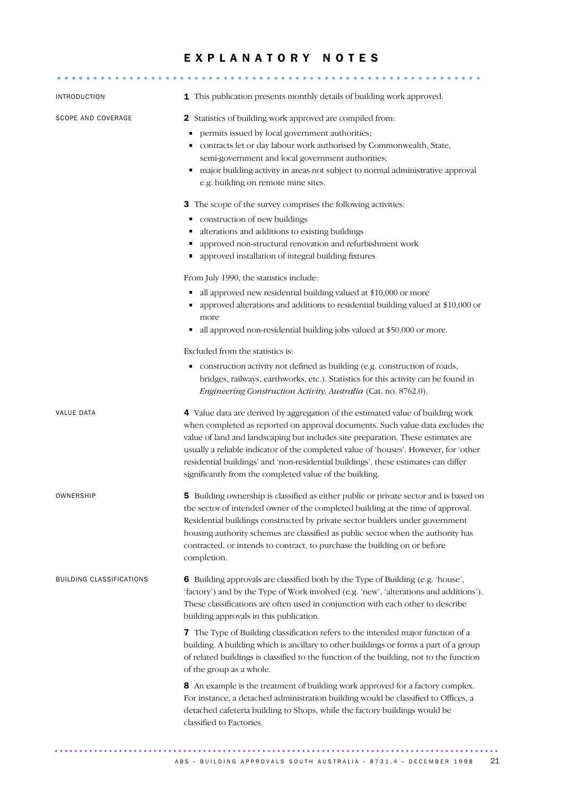### E X P L A N A T O R Y N O T E S

| <b>INTRODUCTION</b>             | 1 This publication presents monthly details of building work approved.                                                                                                                                                                                                                                                                                                                                                                                                                         |
|---------------------------------|------------------------------------------------------------------------------------------------------------------------------------------------------------------------------------------------------------------------------------------------------------------------------------------------------------------------------------------------------------------------------------------------------------------------------------------------------------------------------------------------|
| SCOPE AND COVERAGE              | 2 Statistics of building work approved are compiled from:<br>permits issued by local government authorities;<br>п<br>contracts let or day labour work authorised by Commonwealth, State,<br>Ξ<br>semi-government and local government authorities;<br>major building activity in areas not subject to normal administrative approval<br>e.g. building on remote mine sites.                                                                                                                    |
|                                 | 3 The scope of the survey comprises the following activities:<br>construction of new buildings<br>Ξ<br>alterations and additions to existing buildings<br>п<br>approved non-structural renovation and refurbishment work<br>٠<br>approved installation of integral building fixtures                                                                                                                                                                                                           |
|                                 | From July 1990, the statistics include:<br>all approved new residential building valued at \$10,000 or more<br>٠<br>approved alterations and additions to residential building valued at \$10,000 or<br>more<br>all approved non-residential building jobs valued at \$50,000 or more.<br>٠<br>Excluded from the statistics is:                                                                                                                                                                |
|                                 | construction activity not defined as building (e.g. construction of roads,<br>Е<br>bridges, railways, earthworks, etc.). Statistics for this activity can be found in<br>Engineering Construction Activity, Australia (Cat. no. 8762.0).                                                                                                                                                                                                                                                       |
| <b>VALUE DATA</b>               | 4 Value data are derived by aggregation of the estimated value of building work<br>when completed as reported on approval documents. Such value data excludes the<br>value of land and landscaping but includes site preparation. These estimates are<br>usually a reliable indicator of the completed value of 'houses'. However, for 'other<br>residential buildings' and 'non-residential buildings', these estimates can differ<br>significantly from the completed value of the building. |
| OWNERSHIP                       | 5 Building ownership is classified as either public or private sector and is based on<br>the sector of intended owner of the completed building at the time of approval.<br>Residential buildings constructed by private sector builders under government<br>housing authority schemes are classified as public sector when the authority has<br>contracted, or intends to contract, to purchase the building on or before<br>completion.                                                      |
| <b>BUILDING CLASSIFICATIONS</b> | 6 Building approvals are classified both by the Type of Building (e.g. 'house',<br>'factory') and by the Type of Work involved (e.g. 'new', 'alterations and additions').<br>These classifications are often used in conjunction with each other to describe<br>building approvals in this publication.                                                                                                                                                                                        |
|                                 | 7 The Type of Building classification refers to the intended major function of a<br>building. A building which is ancillary to other buildings or forms a part of a group<br>of related buildings is classified to the function of the building, not to the function<br>of the group as a whole.                                                                                                                                                                                               |
|                                 | 8 An example is the treatment of building work approved for a factory complex.<br>For instance, a detached administration building would be classified to Offices, a<br>detached cafeteria building to Shops, while the factory buildings would be<br>classified to Factories.                                                                                                                                                                                                                 |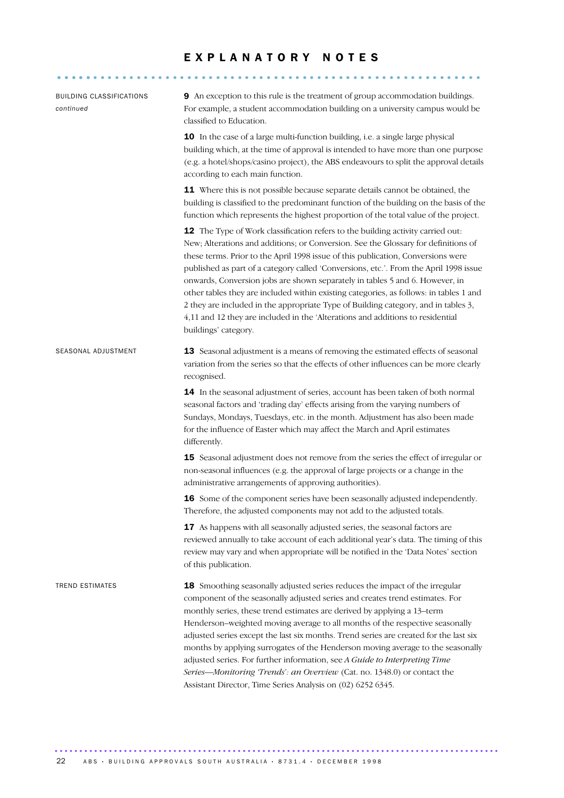#### EXPLANATORY NOTES

........................................................... .....

| <b>BUILDING CLASSIFICATIONS</b><br>continued | 9 An exception to this rule is the treatment of group accommodation buildings.<br>For example, a student accommodation building on a university campus would be<br>classified to Education.                                                                                                                                                                                                                                                                                                                                                                                                                                                                                                                                  |
|----------------------------------------------|------------------------------------------------------------------------------------------------------------------------------------------------------------------------------------------------------------------------------------------------------------------------------------------------------------------------------------------------------------------------------------------------------------------------------------------------------------------------------------------------------------------------------------------------------------------------------------------------------------------------------------------------------------------------------------------------------------------------------|
|                                              | 10 In the case of a large multi-function building, i.e. a single large physical<br>building which, at the time of approval is intended to have more than one purpose<br>(e.g. a hotel/shops/casino project), the ABS endeavours to split the approval details<br>according to each main function.                                                                                                                                                                                                                                                                                                                                                                                                                            |
|                                              | 11 Where this is not possible because separate details cannot be obtained, the<br>building is classified to the predominant function of the building on the basis of the<br>function which represents the highest proportion of the total value of the project.                                                                                                                                                                                                                                                                                                                                                                                                                                                              |
|                                              | 12 The Type of Work classification refers to the building activity carried out:<br>New; Alterations and additions; or Conversion. See the Glossary for definitions of<br>these terms. Prior to the April 1998 issue of this publication, Conversions were<br>published as part of a category called 'Conversions, etc.'. From the April 1998 issue<br>onwards, Conversion jobs are shown separately in tables 5 and 6. However, in<br>other tables they are included within existing categories, as follows: in tables 1 and<br>2 they are included in the appropriate Type of Building category, and in tables 3,<br>4,11 and 12 they are included in the 'Alterations and additions to residential<br>buildings' category. |
| SEASONAL ADJUSTMENT                          | 13 Seasonal adjustment is a means of removing the estimated effects of seasonal<br>variation from the series so that the effects of other influences can be more clearly<br>recognised.                                                                                                                                                                                                                                                                                                                                                                                                                                                                                                                                      |
|                                              | 14 In the seasonal adjustment of series, account has been taken of both normal<br>seasonal factors and 'trading day' effects arising from the varying numbers of<br>Sundays, Mondays, Tuesdays, etc. in the month. Adjustment has also been made<br>for the influence of Easter which may affect the March and April estimates<br>differently.                                                                                                                                                                                                                                                                                                                                                                               |
|                                              | 15 Seasonal adjustment does not remove from the series the effect of irregular or<br>non-seasonal influences (e.g. the approval of large projects or a change in the<br>administrative arrangements of approving authorities).                                                                                                                                                                                                                                                                                                                                                                                                                                                                                               |
|                                              | 16 Some of the component series have been seasonally adjusted independently.<br>Therefore, the adjusted components may not add to the adjusted totals.                                                                                                                                                                                                                                                                                                                                                                                                                                                                                                                                                                       |
|                                              | 17 As happens with all seasonally adjusted series, the seasonal factors are<br>reviewed annually to take account of each additional year's data. The timing of this<br>review may vary and when appropriate will be notified in the 'Data Notes' section<br>of this publication.                                                                                                                                                                                                                                                                                                                                                                                                                                             |
| <b>TREND ESTIMATES</b>                       | 18 Smoothing seasonally adjusted series reduces the impact of the irregular<br>component of the seasonally adjusted series and creates trend estimates. For<br>monthly series, these trend estimates are derived by applying a 13-term<br>Henderson-weighted moving average to all months of the respective seasonally<br>adjusted series except the last six months. Trend series are created for the last six<br>months by applying surrogates of the Henderson moving average to the seasonally<br>adjusted series. For further information, see A Guide to Interpreting Time<br>Series-Monitoring 'Trends': an Overview (Cat. no. 1348.0) or contact the<br>Assistant Director, Time Series Analysis on (02) 6252 6345.  |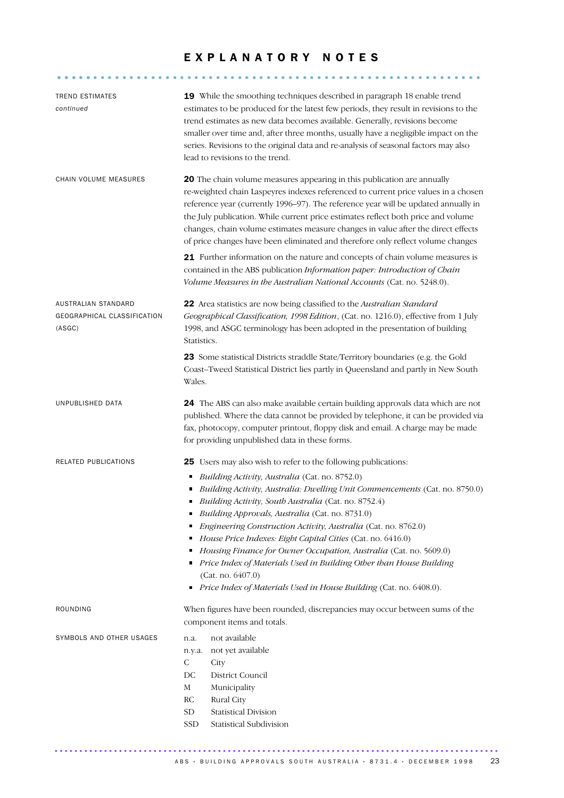#### EXPLANATORY NOTES

........................................................... .....

| <b>TREND ESTIMATES</b><br>continued                          | 19 While the smoothing techniques described in paragraph 18 enable trend<br>estimates to be produced for the latest few periods, they result in revisions to the<br>trend estimates as new data becomes available. Generally, revisions become<br>smaller over time and, after three months, usually have a negligible impact on the<br>series. Revisions to the original data and re-analysis of seasonal factors may also<br>lead to revisions to the trend.                                                                                                                                                                                                                                              |
|--------------------------------------------------------------|-------------------------------------------------------------------------------------------------------------------------------------------------------------------------------------------------------------------------------------------------------------------------------------------------------------------------------------------------------------------------------------------------------------------------------------------------------------------------------------------------------------------------------------------------------------------------------------------------------------------------------------------------------------------------------------------------------------|
| CHAIN VOLUME MEASURES                                        | 20 The chain volume measures appearing in this publication are annually<br>re-weighted chain Laspeyres indexes referenced to current price values in a chosen<br>reference year (currently 1996-97). The reference year will be updated annually in<br>the July publication. While current price estimates reflect both price and volume<br>changes, chain volume estimates measure changes in value after the direct effects<br>of price changes have been eliminated and therefore only reflect volume changes<br>21 Further information on the nature and concepts of chain volume measures is                                                                                                           |
|                                                              | contained in the ABS publication Information paper: Introduction of Chain<br>Volume Measures in the Australian National Accounts (Cat. no. 5248.0).                                                                                                                                                                                                                                                                                                                                                                                                                                                                                                                                                         |
| AUSTRALIAN STANDARD<br>GEOGRAPHICAL CLASSIFICATION<br>(ASGC) | 22 Area statistics are now being classified to the Australian Standard<br>Geographical Classification, 1998 Edition, (Cat. no. 1216.0), effective from 1 July<br>1998, and ASGC terminology has been adopted in the presentation of building<br>Statistics.                                                                                                                                                                                                                                                                                                                                                                                                                                                 |
|                                                              | 23 Some statistical Districts straddle State/Territory boundaries (e.g. the Gold<br>Coast-Tweed Statistical District lies partly in Queensland and partly in New South<br>Wales.                                                                                                                                                                                                                                                                                                                                                                                                                                                                                                                            |
| UNPUBLISHED DATA                                             | 24 The ABS can also make available certain building approvals data which are not<br>published. Where the data cannot be provided by telephone, it can be provided via<br>fax, photocopy, computer printout, floppy disk and email. A charge may be made<br>for providing unpublished data in these forms.                                                                                                                                                                                                                                                                                                                                                                                                   |
| RELATED PUBLICATIONS                                         | 25 Users may also wish to refer to the following publications:<br>Building Activity, Australia (Cat. no. 8752.0)<br>٠<br>Building Activity, Australia: Dwelling Unit Commencements (Cat. no. 8750.0)<br>Building Activity, South Australia (Cat. no. 8752.4)<br>Building Approvals, Australia (Cat. no. 8731.0)<br>Engineering Construction Activity, Australia (Cat. no. 8762.0)<br>п<br>House Price Indexes: Eight Capital Cities (Cat. no. 6416.0)<br>٠<br>Housing Finance for Owner Occupation, Australia (Cat. no. 5609.0)<br>٠<br>Price Index of Materials Used in Building Other than House Building<br>п<br>(Cat. no. 6407.0)<br>Price Index of Materials Used in House Building (Cat. no. 6408.0). |
| ROUNDING                                                     | When figures have been rounded, discrepancies may occur between sums of the<br>component items and totals.                                                                                                                                                                                                                                                                                                                                                                                                                                                                                                                                                                                                  |
| SYMBOLS AND OTHER USAGES                                     | not available<br>n.a.<br>not yet available<br>n.y.a.<br>$\mathsf{C}$<br>City<br>DC<br><b>District Council</b><br>M<br>Municipality<br>Rural City<br>RC<br>${\rm SD}$<br><b>Statistical Division</b><br>SSD<br>Statistical Subdivision                                                                                                                                                                                                                                                                                                                                                                                                                                                                       |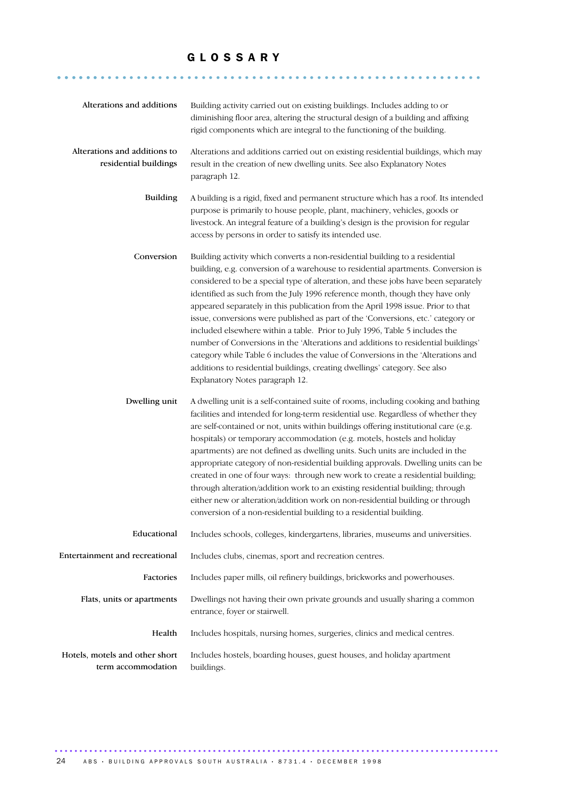#### G L O S S A R Y

........................................................... ......

| Alterations and additions                                                                                                                    | Building activity carried out on existing buildings. Includes adding to or<br>diminishing floor area, altering the structural design of a building and affixing<br>rigid components which are integral to the functioning of the building.                                                                                                                                                                                                                                                                                                                                                                                                                                                                                                                                                                                                                                               |  |
|----------------------------------------------------------------------------------------------------------------------------------------------|------------------------------------------------------------------------------------------------------------------------------------------------------------------------------------------------------------------------------------------------------------------------------------------------------------------------------------------------------------------------------------------------------------------------------------------------------------------------------------------------------------------------------------------------------------------------------------------------------------------------------------------------------------------------------------------------------------------------------------------------------------------------------------------------------------------------------------------------------------------------------------------|--|
| Alterations and additions to<br>residential buildings                                                                                        | Alterations and additions carried out on existing residential buildings, which may<br>result in the creation of new dwelling units. See also Explanatory Notes<br>paragraph 12.                                                                                                                                                                                                                                                                                                                                                                                                                                                                                                                                                                                                                                                                                                          |  |
| <b>Building</b>                                                                                                                              | A building is a rigid, fixed and permanent structure which has a roof. Its intended<br>purpose is primarily to house people, plant, machinery, vehicles, goods or<br>livestock. An integral feature of a building's design is the provision for regular<br>access by persons in order to satisfy its intended use.                                                                                                                                                                                                                                                                                                                                                                                                                                                                                                                                                                       |  |
| Conversion                                                                                                                                   | Building activity which converts a non-residential building to a residential<br>building, e.g. conversion of a warehouse to residential apartments. Conversion is<br>considered to be a special type of alteration, and these jobs have been separately<br>identified as such from the July 1996 reference month, though they have only<br>appeared separately in this publication from the April 1998 issue. Prior to that<br>issue, conversions were published as part of the 'Conversions, etc.' category or<br>included elsewhere within a table. Prior to July 1996, Table 5 includes the<br>number of Conversions in the 'Alterations and additions to residential buildings'<br>category while Table 6 includes the value of Conversions in the 'Alterations and<br>additions to residential buildings, creating dwellings' category. See also<br>Explanatory Notes paragraph 12. |  |
| Dwelling unit                                                                                                                                | A dwelling unit is a self-contained suite of rooms, including cooking and bathing<br>facilities and intended for long-term residential use. Regardless of whether they<br>are self-contained or not, units within buildings offering institutional care (e.g.<br>hospitals) or temporary accommodation (e.g. motels, hostels and holiday<br>apartments) are not defined as dwelling units. Such units are included in the<br>appropriate category of non-residential building approvals. Dwelling units can be<br>created in one of four ways: through new work to create a residential building;<br>through alteration/addition work to an existing residential building; through<br>either new or alteration/addition work on non-residential building or through<br>conversion of a non-residential building to a residential building.                                               |  |
| Educational                                                                                                                                  | Includes schools, colleges, kindergartens, libraries, museums and universities.                                                                                                                                                                                                                                                                                                                                                                                                                                                                                                                                                                                                                                                                                                                                                                                                          |  |
| Entertainment and recreational                                                                                                               | Includes clubs, cinemas, sport and recreation centres.                                                                                                                                                                                                                                                                                                                                                                                                                                                                                                                                                                                                                                                                                                                                                                                                                                   |  |
| Factories                                                                                                                                    | Includes paper mills, oil refinery buildings, brickworks and powerhouses.                                                                                                                                                                                                                                                                                                                                                                                                                                                                                                                                                                                                                                                                                                                                                                                                                |  |
| Flats, units or apartments                                                                                                                   | Dwellings not having their own private grounds and usually sharing a common<br>entrance, foyer or stairwell.                                                                                                                                                                                                                                                                                                                                                                                                                                                                                                                                                                                                                                                                                                                                                                             |  |
| Health                                                                                                                                       | Includes hospitals, nursing homes, surgeries, clinics and medical centres.                                                                                                                                                                                                                                                                                                                                                                                                                                                                                                                                                                                                                                                                                                                                                                                                               |  |
| Hotels, motels and other short<br>Includes hostels, boarding houses, guest houses, and holiday apartment<br>term accommodation<br>buildings. |                                                                                                                                                                                                                                                                                                                                                                                                                                                                                                                                                                                                                                                                                                                                                                                                                                                                                          |  |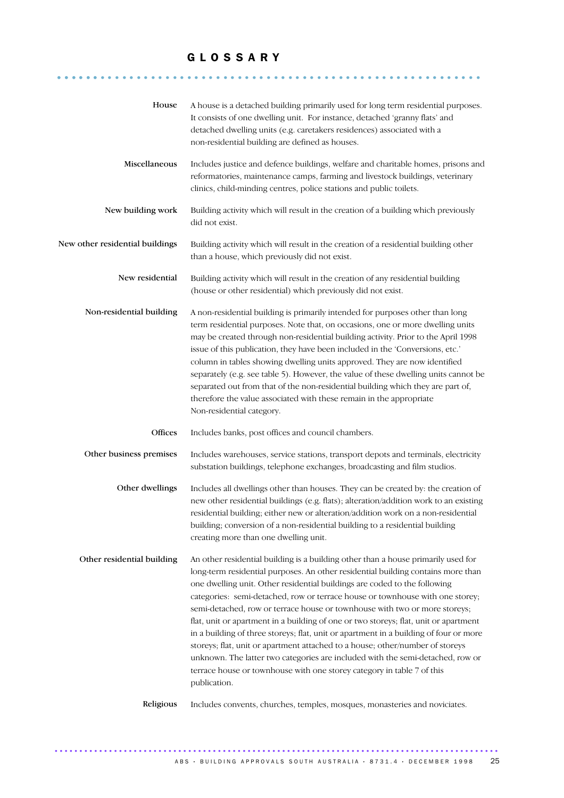#### G L O S S A R Y

........................................................... ......

| House                           | A house is a detached building primarily used for long term residential purposes.<br>It consists of one dwelling unit. For instance, detached 'granny flats' and<br>detached dwelling units (e.g. caretakers residences) associated with a<br>non-residential building are defined as houses.                                                                                                                                                                                                                                                                                                                                                                                                                                                                                                                                                                   |  |
|---------------------------------|-----------------------------------------------------------------------------------------------------------------------------------------------------------------------------------------------------------------------------------------------------------------------------------------------------------------------------------------------------------------------------------------------------------------------------------------------------------------------------------------------------------------------------------------------------------------------------------------------------------------------------------------------------------------------------------------------------------------------------------------------------------------------------------------------------------------------------------------------------------------|--|
| Miscellaneous                   | Includes justice and defence buildings, welfare and charitable homes, prisons and<br>reformatories, maintenance camps, farming and livestock buildings, veterinary<br>clinics, child-minding centres, police stations and public toilets.                                                                                                                                                                                                                                                                                                                                                                                                                                                                                                                                                                                                                       |  |
| New building work               | Building activity which will result in the creation of a building which previously<br>did not exist.                                                                                                                                                                                                                                                                                                                                                                                                                                                                                                                                                                                                                                                                                                                                                            |  |
| New other residential buildings | Building activity which will result in the creation of a residential building other<br>than a house, which previously did not exist.                                                                                                                                                                                                                                                                                                                                                                                                                                                                                                                                                                                                                                                                                                                            |  |
| New residential                 | Building activity which will result in the creation of any residential building<br>(house or other residential) which previously did not exist.                                                                                                                                                                                                                                                                                                                                                                                                                                                                                                                                                                                                                                                                                                                 |  |
| Non-residential building        | A non-residential building is primarily intended for purposes other than long<br>term residential purposes. Note that, on occasions, one or more dwelling units<br>may be created through non-residential building activity. Prior to the April 1998<br>issue of this publication, they have been included in the 'Conversions, etc.'<br>column in tables showing dwelling units approved. They are now identified<br>separately (e.g. see table 5). However, the value of these dwelling units cannot be<br>separated out from that of the non-residential building which they are part of,<br>therefore the value associated with these remain in the appropriate<br>Non-residential category.                                                                                                                                                                |  |
| Offices                         | Includes banks, post offices and council chambers.                                                                                                                                                                                                                                                                                                                                                                                                                                                                                                                                                                                                                                                                                                                                                                                                              |  |
| Other business premises         | Includes warehouses, service stations, transport depots and terminals, electricity<br>substation buildings, telephone exchanges, broadcasting and film studios.                                                                                                                                                                                                                                                                                                                                                                                                                                                                                                                                                                                                                                                                                                 |  |
| Other dwellings                 | Includes all dwellings other than houses. They can be created by: the creation of<br>new other residential buildings (e.g. flats); alteration/addition work to an existing<br>residential building; either new or alteration/addition work on a non-residential<br>building; conversion of a non-residential building to a residential building<br>creating more than one dwelling unit.                                                                                                                                                                                                                                                                                                                                                                                                                                                                        |  |
| Other residential building      | An other residential building is a building other than a house primarily used for<br>long-term residential purposes. An other residential building contains more than<br>one dwelling unit. Other residential buildings are coded to the following<br>categories: semi-detached, row or terrace house or townhouse with one storey;<br>semi-detached, row or terrace house or townhouse with two or more storeys;<br>flat, unit or apartment in a building of one or two storeys; flat, unit or apartment<br>in a building of three storeys; flat, unit or apartment in a building of four or more<br>storeys; flat, unit or apartment attached to a house; other/number of storeys<br>unknown. The latter two categories are included with the semi-detached, row or<br>terrace house or townhouse with one storey category in table 7 of this<br>publication. |  |
| Religious                       | Includes convents, churches, temples, mosques, monasteries and noviciates.                                                                                                                                                                                                                                                                                                                                                                                                                                                                                                                                                                                                                                                                                                                                                                                      |  |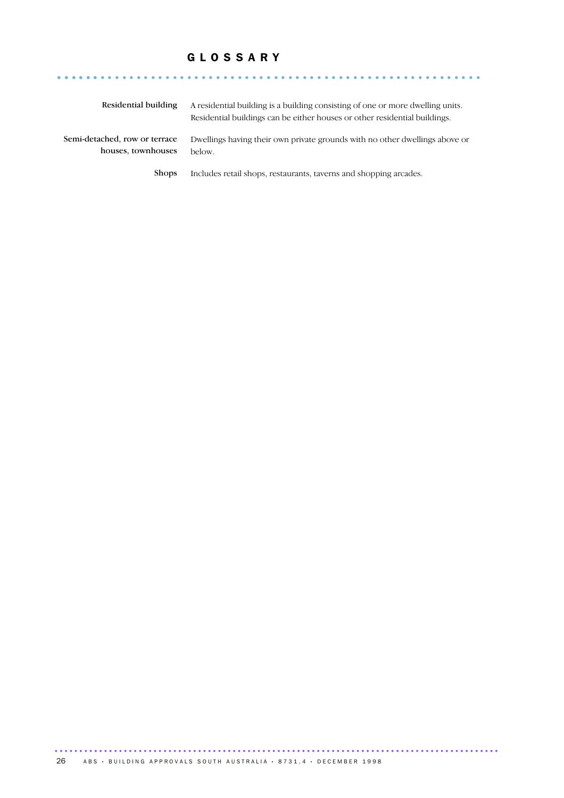#### G L O S S A R Y

| Residential building                                | A residential building is a building consisting of one or more dwelling units.<br>Residential buildings can be either houses or other residential buildings. |
|-----------------------------------------------------|--------------------------------------------------------------------------------------------------------------------------------------------------------------|
| Semi-detached, row or terrace<br>houses, townhouses | Dwellings having their own private grounds with no other dwellings above or<br>below.                                                                        |
| <b>Shops</b>                                        | Includes retail shops, restaurants, taverns and shopping arcades.                                                                                            |

........................................................... ......